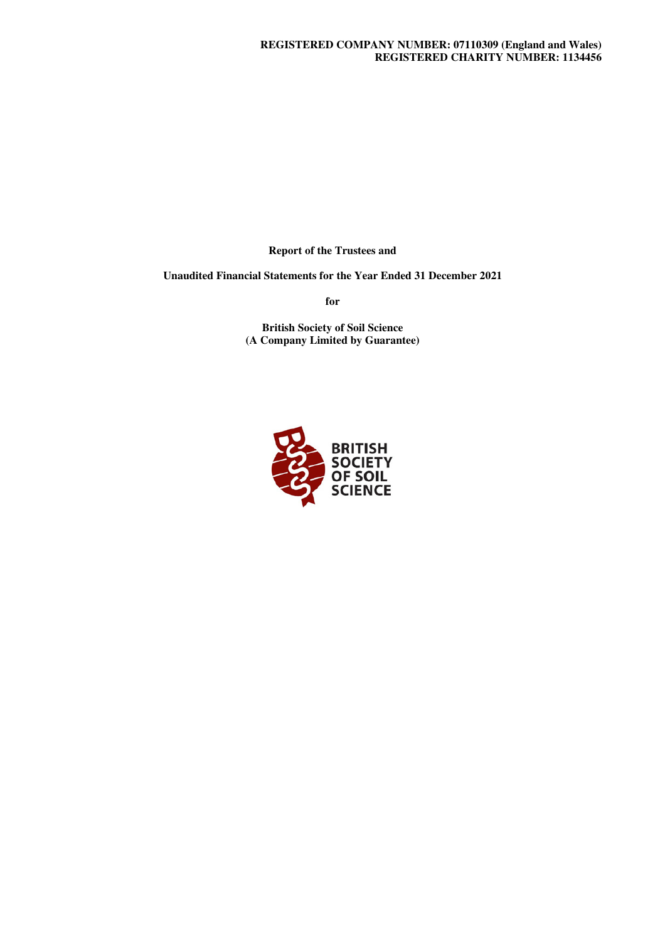**Report of the Trustees and** 

**Unaudited Financial Statements for the Year Ended 31 December 2021** 

**for** 

**British Society of Soil Science (A Company Limited by Guarantee)** 

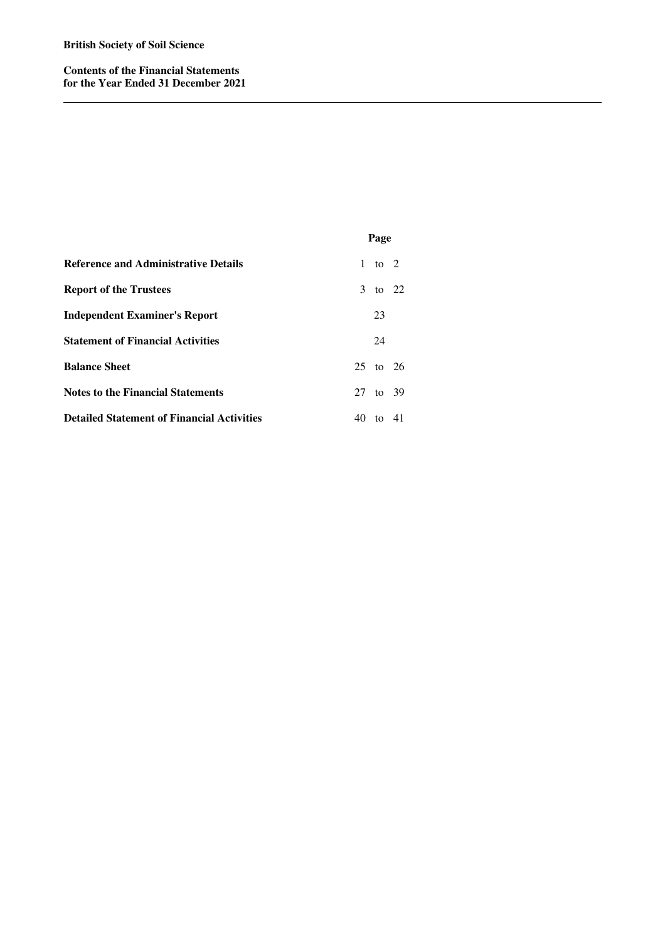**Contents of the Financial Statements for the Year Ended 31 December 2021** 

|                                                   |    | Page     |         |
|---------------------------------------------------|----|----------|---------|
| <b>Reference and Administrative Details</b>       |    | 1 to 2   |         |
| <b>Report of the Trustees</b>                     |    | 3 to 22  |         |
| <b>Independent Examiner's Report</b>              |    | 23       |         |
| <b>Statement of Financial Activities</b>          |    | 24       |         |
| <b>Balance Sheet</b>                              |    | 25 to 26 |         |
| <b>Notes to the Financial Statements</b>          |    | 27 to 39 |         |
| <b>Detailed Statement of Financial Activities</b> | 40 |          | to $41$ |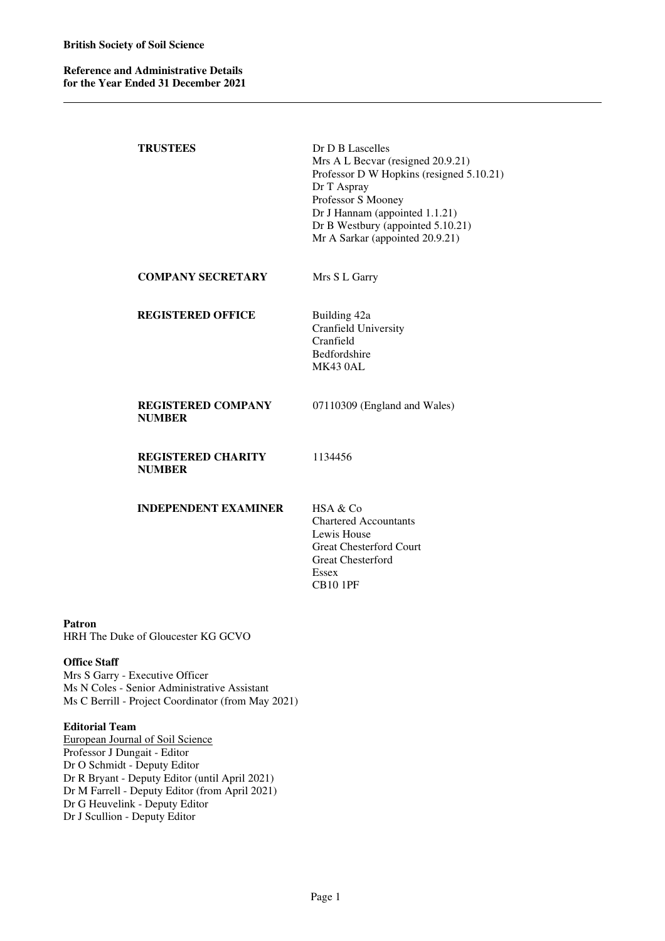| <b>TRUSTEES</b>                            | Dr D B Lascelles<br>Mrs A L Becvar (resigned 20.9.21)<br>Professor D W Hopkins (resigned 5.10.21)<br>Dr T Aspray<br>Professor S Mooney<br>Dr J Hannam (appointed 1.1.21)<br>Dr B Westbury (appointed 5.10.21)<br>Mr A Sarkar (appointed 20.9.21) |
|--------------------------------------------|--------------------------------------------------------------------------------------------------------------------------------------------------------------------------------------------------------------------------------------------------|
| <b>COMPANY SECRETARY</b>                   | Mrs S L Garry                                                                                                                                                                                                                                    |
| <b>REGISTERED OFFICE</b>                   | Building 42a<br>Cranfield University<br>Cranfield<br>Bedfordshire<br><b>MK430AL</b>                                                                                                                                                              |
| <b>REGISTERED COMPANY</b><br><b>NUMBER</b> | 07110309 (England and Wales)                                                                                                                                                                                                                     |
| <b>REGISTERED CHARITY</b><br><b>NUMBER</b> | 1134456                                                                                                                                                                                                                                          |
| <b>INDEPENDENT EXAMINER</b>                | HSA & Co<br><b>Chartered Accountants</b><br>Lewis House<br><b>Great Chesterford Court</b><br><b>Great Chesterford</b><br><b>Essex</b><br><b>CB10 1PF</b>                                                                                         |

#### **Patron**

HRH The Duke of Gloucester KG GCVO

# **Office Staff**

Mrs S Garry - Executive Officer Ms N Coles - Senior Administrative Assistant Ms C Berrill - Project Coordinator (from May 2021)

#### **Editorial Team**

European Journal of Soil Science Professor J Dungait - Editor Dr O Schmidt - Deputy Editor Dr R Bryant - Deputy Editor (until April 2021) Dr M Farrell - Deputy Editor (from April 2021) Dr G Heuvelink - Deputy Editor Dr J Scullion - Deputy Editor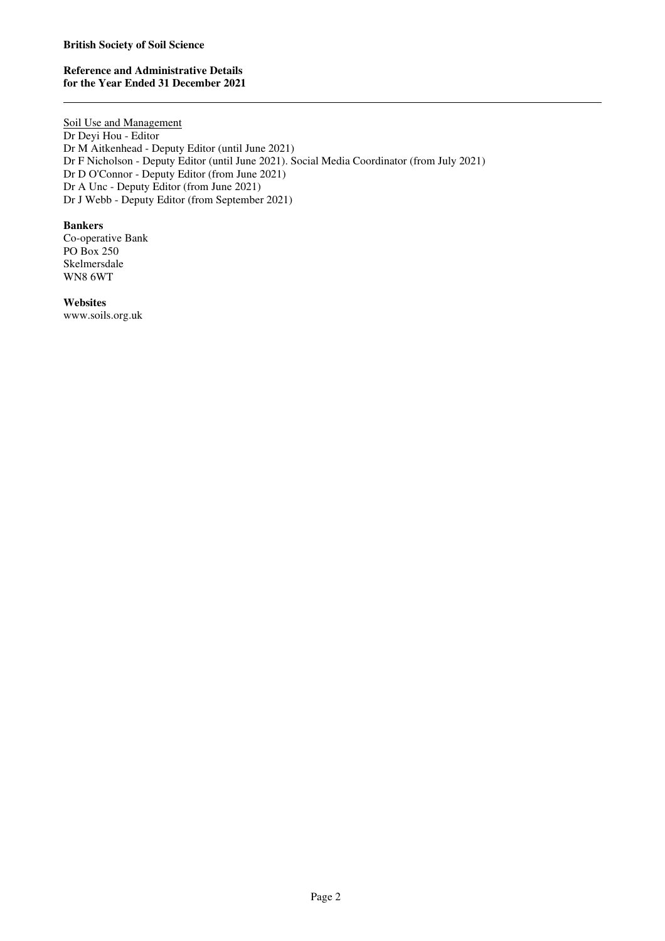# **Reference and Administrative Details for the Year Ended 31 December 2021**

Soil Use and Management Dr Deyi Hou - Editor Dr M Aitkenhead - Deputy Editor (until June 2021) Dr F Nicholson - Deputy Editor (until June 2021). Social Media Coordinator (from July 2021) Dr D O'Connor - Deputy Editor (from June 2021) Dr A Unc - Deputy Editor (from June 2021) Dr J Webb - Deputy Editor (from September 2021)

# **Bankers**

Co-operative Bank PO Box 250 Skelmersdale WN8 6WT

**Websites**  www.soils.org.uk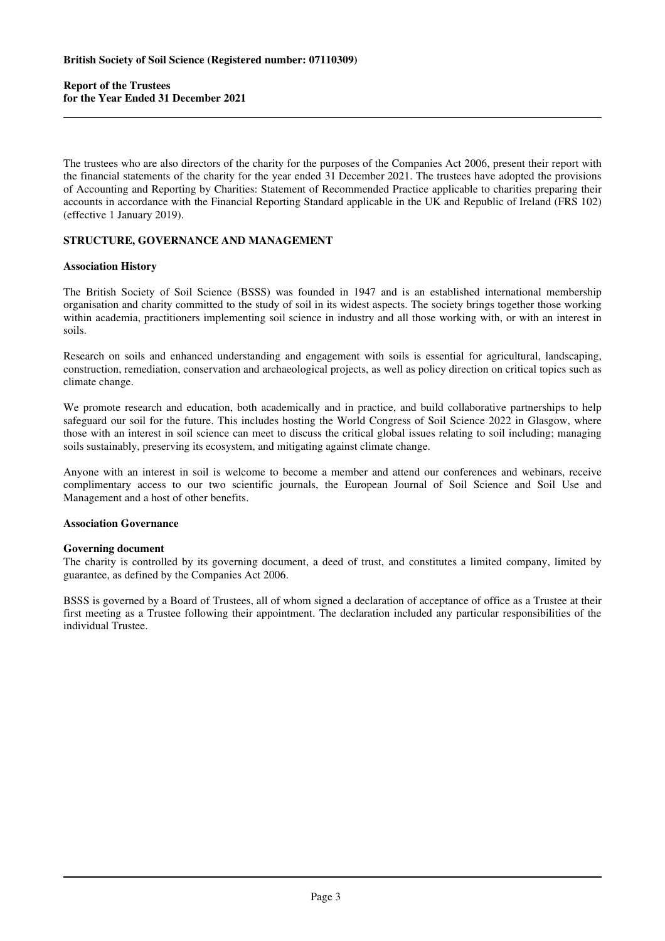The trustees who are also directors of the charity for the purposes of the Companies Act 2006, present their report with the financial statements of the charity for the year ended 31 December 2021. The trustees have adopted the provisions of Accounting and Reporting by Charities: Statement of Recommended Practice applicable to charities preparing their accounts in accordance with the Financial Reporting Standard applicable in the UK and Republic of Ireland (FRS 102) (effective 1 January 2019).

# **STRUCTURE, GOVERNANCE AND MANAGEMENT**

# **Association History**

The British Society of Soil Science (BSSS) was founded in 1947 and is an established international membership organisation and charity committed to the study of soil in its widest aspects. The society brings together those working within academia, practitioners implementing soil science in industry and all those working with, or with an interest in soils.

Research on soils and enhanced understanding and engagement with soils is essential for agricultural, landscaping, construction, remediation, conservation and archaeological projects, as well as policy direction on critical topics such as climate change.

We promote research and education, both academically and in practice, and build collaborative partnerships to help safeguard our soil for the future. This includes hosting the World Congress of Soil Science 2022 in Glasgow, where those with an interest in soil science can meet to discuss the critical global issues relating to soil including; managing soils sustainably, preserving its ecosystem, and mitigating against climate change.

Anyone with an interest in soil is welcome to become a member and attend our conferences and webinars, receive complimentary access to our two scientific journals, the European Journal of Soil Science and Soil Use and Management and a host of other benefits.

# **Association Governance**

# **Governing document**

The charity is controlled by its governing document, a deed of trust, and constitutes a limited company, limited by guarantee, as defined by the Companies Act 2006.

BSSS is governed by a Board of Trustees, all of whom signed a declaration of acceptance of office as a Trustee at their first meeting as a Trustee following their appointment. The declaration included any particular responsibilities of the individual Trustee.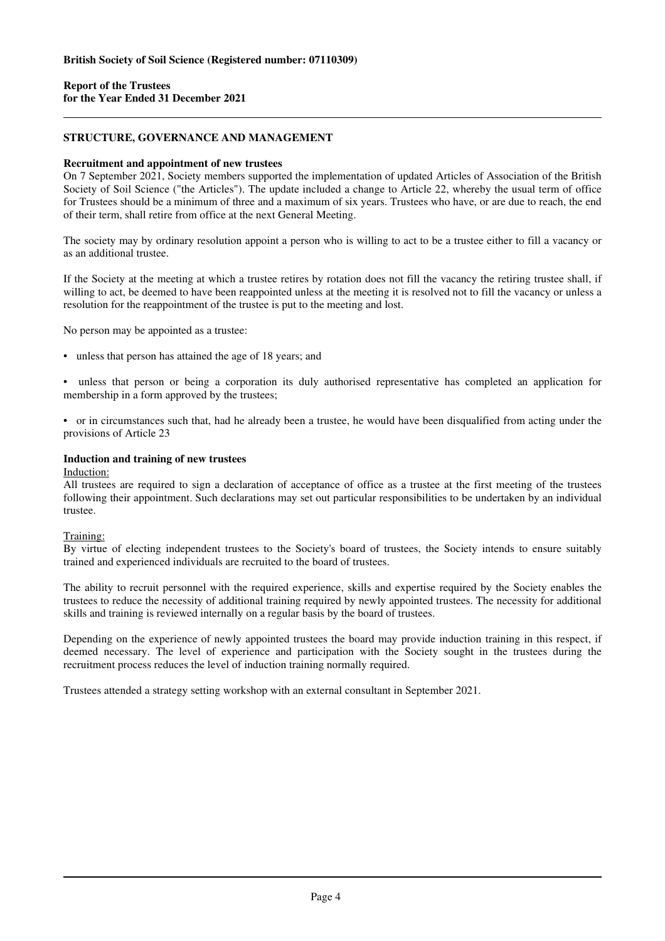# **STRUCTURE, GOVERNANCE AND MANAGEMENT**

# **Recruitment and appointment of new trustees**

On 7 September 2021, Society members supported the implementation of updated Articles of Association of the British Society of Soil Science ("the Articles"). The update included a change to Article 22, whereby the usual term of office for Trustees should be a minimum of three and a maximum of six years. Trustees who have, or are due to reach, the end of their term, shall retire from office at the next General Meeting.

The society may by ordinary resolution appoint a person who is willing to act to be a trustee either to fill a vacancy or as an additional trustee.

If the Society at the meeting at which a trustee retires by rotation does not fill the vacancy the retiring trustee shall, if willing to act, be deemed to have been reappointed unless at the meeting it is resolved not to fill the vacancy or unless a resolution for the reappointment of the trustee is put to the meeting and lost.

No person may be appointed as a trustee:

• unless that person has attained the age of 18 years; and

• unless that person or being a corporation its duly authorised representative has completed an application for membership in a form approved by the trustees;

• or in circumstances such that, had he already been a trustee, he would have been disqualified from acting under the provisions of Article 23

### **Induction and training of new trustees**

#### Induction:

All trustees are required to sign a declaration of acceptance of office as a trustee at the first meeting of the trustees following their appointment. Such declarations may set out particular responsibilities to be undertaken by an individual trustee.

# Training:

By virtue of electing independent trustees to the Society's board of trustees, the Society intends to ensure suitably trained and experienced individuals are recruited to the board of trustees.

The ability to recruit personnel with the required experience, skills and expertise required by the Society enables the trustees to reduce the necessity of additional training required by newly appointed trustees. The necessity for additional skills and training is reviewed internally on a regular basis by the board of trustees.

Depending on the experience of newly appointed trustees the board may provide induction training in this respect, if deemed necessary. The level of experience and participation with the Society sought in the trustees during the recruitment process reduces the level of induction training normally required.

Trustees attended a strategy setting workshop with an external consultant in September 2021.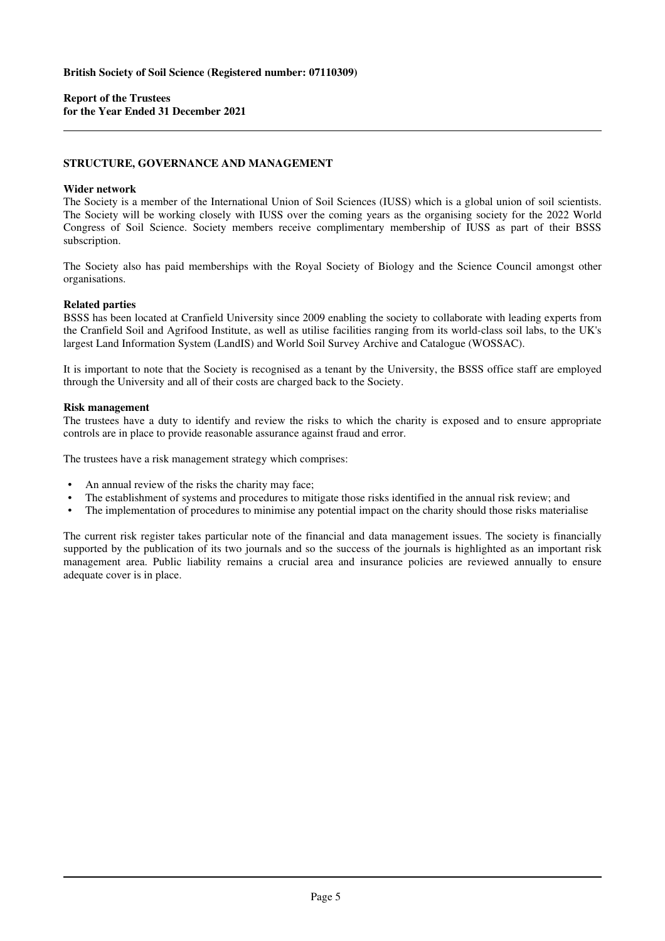#### **STRUCTURE, GOVERNANCE AND MANAGEMENT**

#### **Wider network**

The Society is a member of the International Union of Soil Sciences (IUSS) which is a global union of soil scientists. The Society will be working closely with IUSS over the coming years as the organising society for the 2022 World Congress of Soil Science. Society members receive complimentary membership of IUSS as part of their BSSS subscription.

The Society also has paid memberships with the Royal Society of Biology and the Science Council amongst other organisations.

#### **Related parties**

BSSS has been located at Cranfield University since 2009 enabling the society to collaborate with leading experts from the Cranfield Soil and Agrifood Institute, as well as utilise facilities ranging from its world-class soil labs, to the UK's largest Land Information System (LandIS) and World Soil Survey Archive and Catalogue (WOSSAC).

It is important to note that the Society is recognised as a tenant by the University, the BSSS office staff are employed through the University and all of their costs are charged back to the Society.

#### **Risk management**

The trustees have a duty to identify and review the risks to which the charity is exposed and to ensure appropriate controls are in place to provide reasonable assurance against fraud and error.

The trustees have a risk management strategy which comprises:

- An annual review of the risks the charity may face;
- The establishment of systems and procedures to mitigate those risks identified in the annual risk review; and
- The implementation of procedures to minimise any potential impact on the charity should those risks materialise

The current risk register takes particular note of the financial and data management issues. The society is financially supported by the publication of its two journals and so the success of the journals is highlighted as an important risk management area. Public liability remains a crucial area and insurance policies are reviewed annually to ensure adequate cover is in place.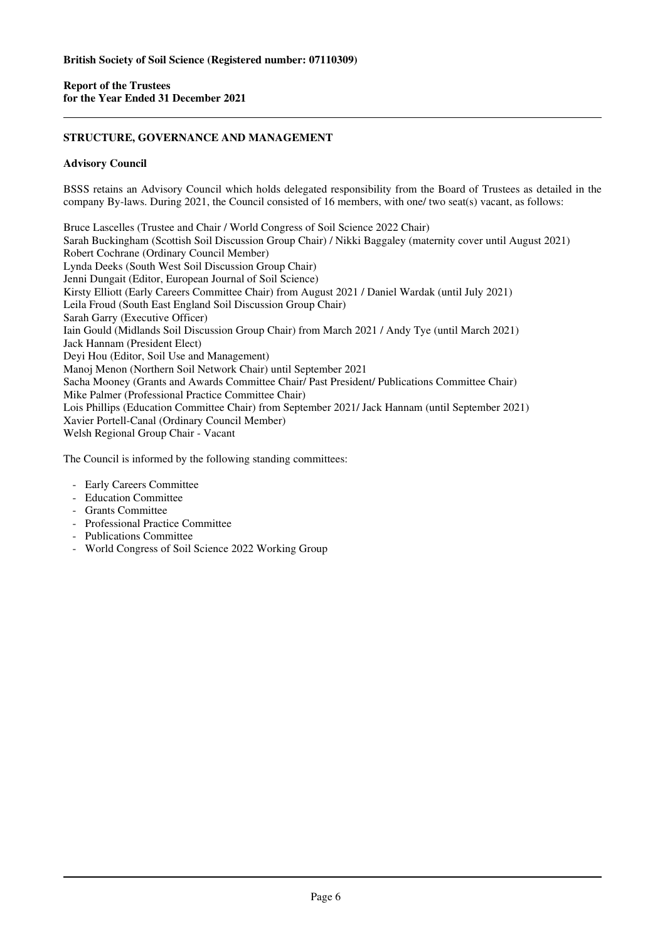# **STRUCTURE, GOVERNANCE AND MANAGEMENT**

# **Advisory Council**

BSSS retains an Advisory Council which holds delegated responsibility from the Board of Trustees as detailed in the company By-laws. During 2021, the Council consisted of 16 members, with one/ two seat(s) vacant, as follows:

Bruce Lascelles (Trustee and Chair / World Congress of Soil Science 2022 Chair) Sarah Buckingham (Scottish Soil Discussion Group Chair) / Nikki Baggaley (maternity cover until August 2021) Robert Cochrane (Ordinary Council Member) Lynda Deeks (South West Soil Discussion Group Chair) Jenni Dungait (Editor, European Journal of Soil Science) Kirsty Elliott (Early Careers Committee Chair) from August 2021 / Daniel Wardak (until July 2021) Leila Froud (South East England Soil Discussion Group Chair) Sarah Garry (Executive Officer) Iain Gould (Midlands Soil Discussion Group Chair) from March 2021 / Andy Tye (until March 2021) Jack Hannam (President Elect) Deyi Hou (Editor, Soil Use and Management) Manoj Menon (Northern Soil Network Chair) until September 2021 Sacha Mooney (Grants and Awards Committee Chair/ Past President/ Publications Committee Chair) Mike Palmer (Professional Practice Committee Chair) Lois Phillips (Education Committee Chair) from September 2021/ Jack Hannam (until September 2021) Xavier Portell-Canal (Ordinary Council Member) Welsh Regional Group Chair - Vacant

The Council is informed by the following standing committees:

- Early Careers Committee
- Education Committee
- Grants Committee
- Professional Practice Committee
- Publications Committee
- World Congress of Soil Science 2022 Working Group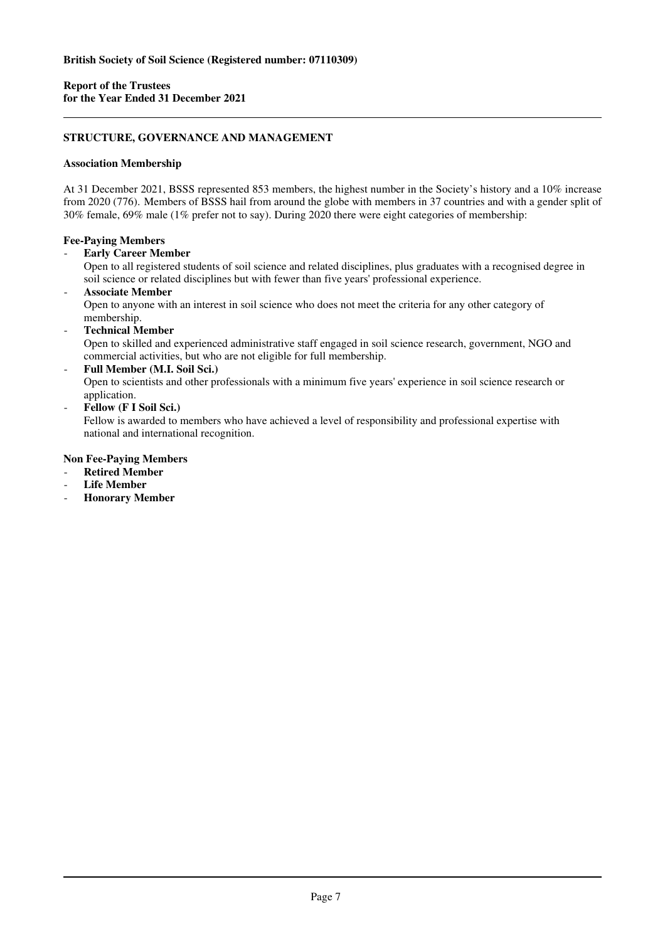# **STRUCTURE, GOVERNANCE AND MANAGEMENT**

# **Association Membership**

At 31 December 2021, BSSS represented 853 members, the highest number in the Society's history and a 10% increase from 2020 (776). Members of BSSS hail from around the globe with members in 37 countries and with a gender split of 30% female, 69% male (1% prefer not to say). During 2020 there were eight categories of membership:

# **Fee-Paying Members**

**Early Career Member** 

Open to all registered students of soil science and related disciplines, plus graduates with a recognised degree in soil science or related disciplines but with fewer than five years' professional experience.

- **Associate Member**  Open to anyone with an interest in soil science who does not meet the criteria for any other category of membership.
- **Technical Member**  Open to skilled and experienced administrative staff engaged in soil science research, government, NGO and commercial activities, but who are not eligible for full membership.
- **Full Member (M.I. Soil Sci.)**  Open to scientists and other professionals with a minimum five years' experience in soil science research or application.
- **Fellow (F I Soil Sci.)**

Fellow is awarded to members who have achieved a level of responsibility and professional expertise with national and international recognition.

# **Non Fee-Paying Members**

- **Retired Member**
- **Life Member**
- **Honorary Member**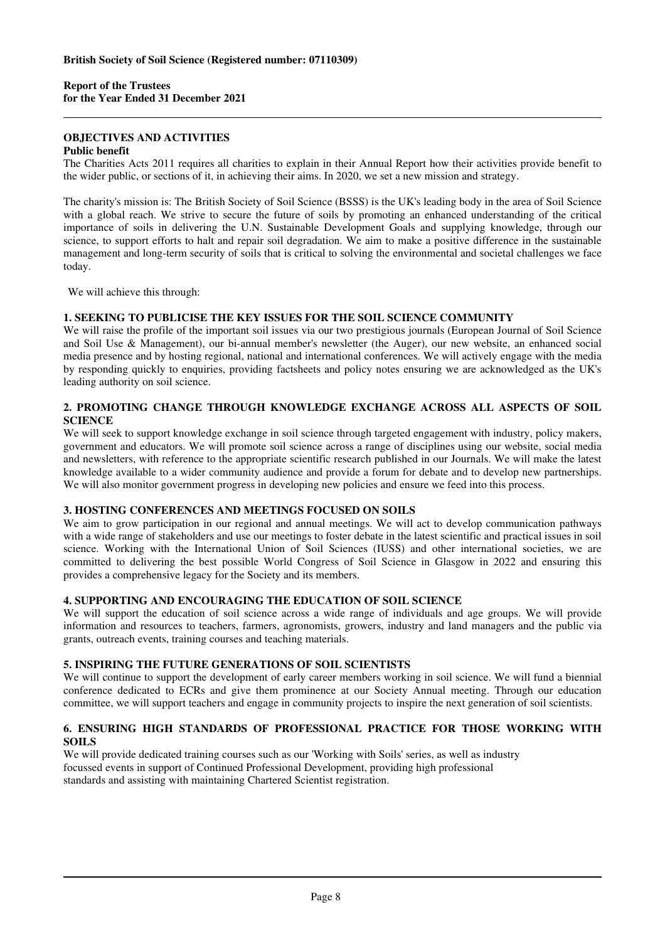# **OBJECTIVES AND ACTIVITIES**

# **Public benefit**

The Charities Acts 2011 requires all charities to explain in their Annual Report how their activities provide benefit to the wider public, or sections of it, in achieving their aims. In 2020, we set a new mission and strategy.

The charity's mission is: The British Society of Soil Science (BSSS) is the UK's leading body in the area of Soil Science with a global reach. We strive to secure the future of soils by promoting an enhanced understanding of the critical importance of soils in delivering the U.N. Sustainable Development Goals and supplying knowledge, through our science, to support efforts to halt and repair soil degradation. We aim to make a positive difference in the sustainable management and long-term security of soils that is critical to solving the environmental and societal challenges we face today.

We will achieve this through:

# **1. SEEKING TO PUBLICISE THE KEY ISSUES FOR THE SOIL SCIENCE COMMUNITY**

We will raise the profile of the important soil issues via our two prestigious journals (European Journal of Soil Science and Soil Use & Management), our bi-annual member's newsletter (the Auger), our new website, an enhanced social media presence and by hosting regional, national and international conferences. We will actively engage with the media by responding quickly to enquiries, providing factsheets and policy notes ensuring we are acknowledged as the UK's leading authority on soil science.

# **2. PROMOTING CHANGE THROUGH KNOWLEDGE EXCHANGE ACROSS ALL ASPECTS OF SOIL SCIENCE**

We will seek to support knowledge exchange in soil science through targeted engagement with industry, policy makers, government and educators. We will promote soil science across a range of disciplines using our website, social media and newsletters, with reference to the appropriate scientific research published in our Journals. We will make the latest knowledge available to a wider community audience and provide a forum for debate and to develop new partnerships. We will also monitor government progress in developing new policies and ensure we feed into this process.

# **3. HOSTING CONFERENCES AND MEETINGS FOCUSED ON SOILS**

We aim to grow participation in our regional and annual meetings. We will act to develop communication pathways with a wide range of stakeholders and use our meetings to foster debate in the latest scientific and practical issues in soil science. Working with the International Union of Soil Sciences (IUSS) and other international societies, we are committed to delivering the best possible World Congress of Soil Science in Glasgow in 2022 and ensuring this provides a comprehensive legacy for the Society and its members.

# **4. SUPPORTING AND ENCOURAGING THE EDUCATION OF SOIL SCIENCE**

We will support the education of soil science across a wide range of individuals and age groups. We will provide information and resources to teachers, farmers, agronomists, growers, industry and land managers and the public via grants, outreach events, training courses and teaching materials.

# **5. INSPIRING THE FUTURE GENERATIONS OF SOIL SCIENTISTS**

We will continue to support the development of early career members working in soil science. We will fund a biennial conference dedicated to ECRs and give them prominence at our Society Annual meeting. Through our education committee, we will support teachers and engage in community projects to inspire the next generation of soil scientists.

# **6. ENSURING HIGH STANDARDS OF PROFESSIONAL PRACTICE FOR THOSE WORKING WITH SOILS**

We will provide dedicated training courses such as our 'Working with Soils' series, as well as industry focussed events in support of Continued Professional Development, providing high professional standards and assisting with maintaining Chartered Scientist registration.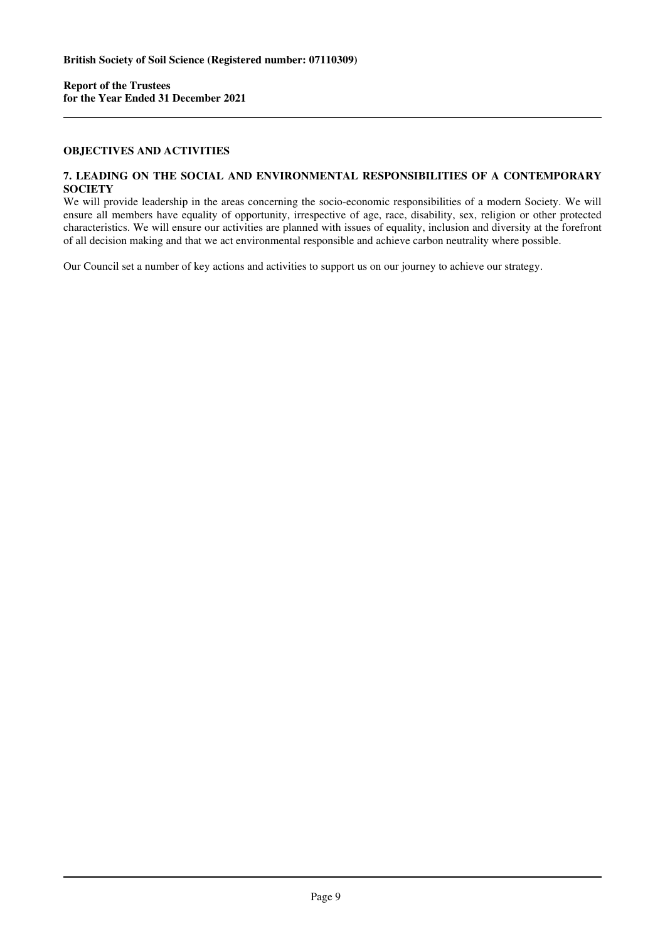# **OBJECTIVES AND ACTIVITIES**

#### **7. LEADING ON THE SOCIAL AND ENVIRONMENTAL RESPONSIBILITIES OF A CONTEMPORARY SOCIETY**

We will provide leadership in the areas concerning the socio-economic responsibilities of a modern Society. We will ensure all members have equality of opportunity, irrespective of age, race, disability, sex, religion or other protected characteristics. We will ensure our activities are planned with issues of equality, inclusion and diversity at the forefront of all decision making and that we act environmental responsible and achieve carbon neutrality where possible.

Our Council set a number of key actions and activities to support us on our journey to achieve our strategy.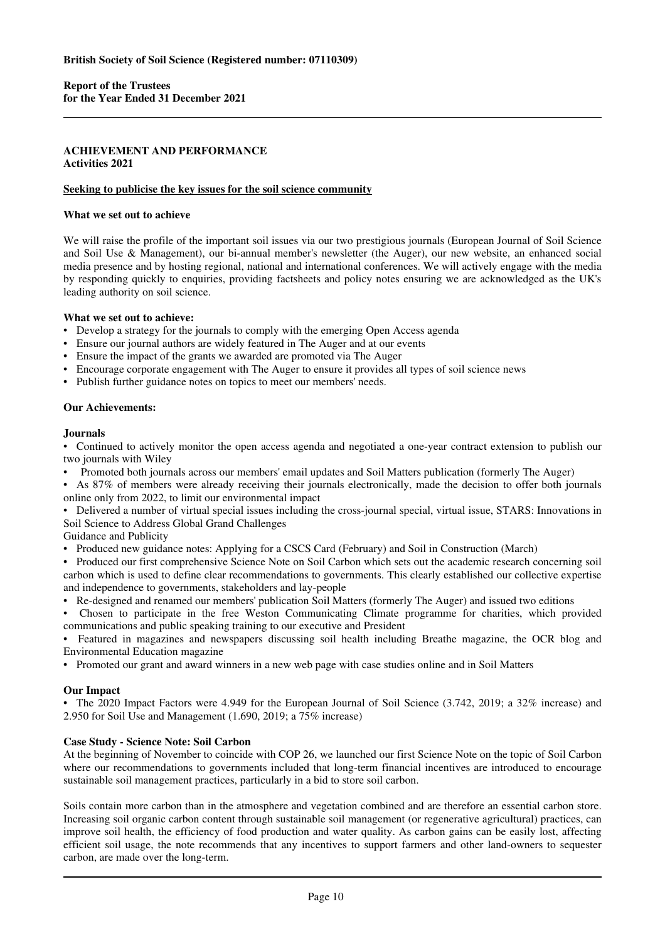# **ACHIEVEMENT AND PERFORMANCE Activities 2021**

### **Seeking to publicise the key issues for the soil science community**

# **What we set out to achieve**

We will raise the profile of the important soil issues via our two prestigious journals (European Journal of Soil Science and Soil Use & Management), our bi-annual member's newsletter (the Auger), our new website, an enhanced social media presence and by hosting regional, national and international conferences. We will actively engage with the media by responding quickly to enquiries, providing factsheets and policy notes ensuring we are acknowledged as the UK's leading authority on soil science.

#### **What we set out to achieve:**

- Develop a strategy for the journals to comply with the emerging Open Access agenda
- Ensure our journal authors are widely featured in The Auger and at our events
- Ensure the impact of the grants we awarded are promoted via The Auger
- Encourage corporate engagement with The Auger to ensure it provides all types of soil science news
- Publish further guidance notes on topics to meet our members' needs.

# **Our Achievements:**

#### **Journals**

• Continued to actively monitor the open access agenda and negotiated a one-year contract extension to publish our two journals with Wiley

• Promoted both journals across our members' email updates and Soil Matters publication (formerly The Auger)

• As 87% of members were already receiving their journals electronically, made the decision to offer both journals online only from 2022, to limit our environmental impact

• Delivered a number of virtual special issues including the cross-journal special, virtual issue, STARS: Innovations in Soil Science to Address Global Grand Challenges

Guidance and Publicity

• Produced new guidance notes: Applying for a CSCS Card (February) and Soil in Construction (March)

• Produced our first comprehensive Science Note on Soil Carbon which sets out the academic research concerning soil carbon which is used to define clear recommendations to governments. This clearly established our collective expertise and independence to governments, stakeholders and lay-people

- Re-designed and renamed our members' publication Soil Matters (formerly The Auger) and issued two editions
- Chosen to participate in the free Weston Communicating Climate programme for charities, which provided communications and public speaking training to our executive and President

• Featured in magazines and newspapers discussing soil health including Breathe magazine, the OCR blog and Environmental Education magazine

• Promoted our grant and award winners in a new web page with case studies online and in Soil Matters

# **Our Impact**

• The 2020 Impact Factors were 4.949 for the European Journal of Soil Science (3.742, 2019; a 32% increase) and 2.950 for Soil Use and Management (1.690, 2019; a 75% increase)

# **Case Study - Science Note: Soil Carbon**

At the beginning of November to coincide with COP 26, we launched our first Science Note on the topic of Soil Carbon where our recommendations to governments included that long-term financial incentives are introduced to encourage sustainable soil management practices, particularly in a bid to store soil carbon.

Soils contain more carbon than in the atmosphere and vegetation combined and are therefore an essential carbon store. Increasing soil organic carbon content through sustainable soil management (or regenerative agricultural) practices, can improve soil health, the efficiency of food production and water quality. As carbon gains can be easily lost, affecting efficient soil usage, the note recommends that any incentives to support farmers and other land-owners to sequester carbon, are made over the long-term.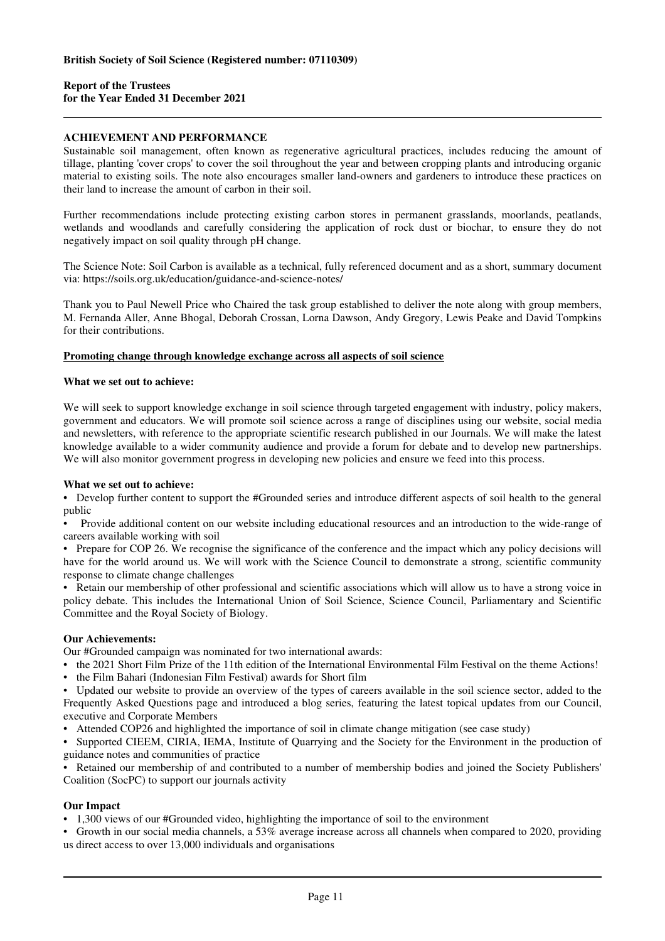# **ACHIEVEMENT AND PERFORMANCE**

Sustainable soil management, often known as regenerative agricultural practices, includes reducing the amount of tillage, planting 'cover crops' to cover the soil throughout the year and between cropping plants and introducing organic material to existing soils. The note also encourages smaller land-owners and gardeners to introduce these practices on their land to increase the amount of carbon in their soil.

Further recommendations include protecting existing carbon stores in permanent grasslands, moorlands, peatlands, wetlands and woodlands and carefully considering the application of rock dust or biochar, to ensure they do not negatively impact on soil quality through pH change.

The Science Note: Soil Carbon is available as a technical, fully referenced document and as a short, summary document via: https://soils.org.uk/education/guidance-and-science-notes/

Thank you to Paul Newell Price who Chaired the task group established to deliver the note along with group members, M. Fernanda Aller, Anne Bhogal, Deborah Crossan, Lorna Dawson, Andy Gregory, Lewis Peake and David Tompkins for their contributions.

#### **Promoting change through knowledge exchange across all aspects of soil science**

#### **What we set out to achieve:**

We will seek to support knowledge exchange in soil science through targeted engagement with industry, policy makers, government and educators. We will promote soil science across a range of disciplines using our website, social media and newsletters, with reference to the appropriate scientific research published in our Journals. We will make the latest knowledge available to a wider community audience and provide a forum for debate and to develop new partnerships. We will also monitor government progress in developing new policies and ensure we feed into this process.

#### **What we set out to achieve:**

• Develop further content to support the #Grounded series and introduce different aspects of soil health to the general public

• Provide additional content on our website including educational resources and an introduction to the wide-range of careers available working with soil

• Prepare for COP 26. We recognise the significance of the conference and the impact which any policy decisions will have for the world around us. We will work with the Science Council to demonstrate a strong, scientific community response to climate change challenges

• Retain our membership of other professional and scientific associations which will allow us to have a strong voice in policy debate. This includes the International Union of Soil Science, Science Council, Parliamentary and Scientific Committee and the Royal Society of Biology.

# **Our Achievements:**

Our #Grounded campaign was nominated for two international awards:

- the 2021 Short Film Prize of the 11th edition of the International Environmental Film Festival on the theme Actions!
- the Film Bahari (Indonesian Film Festival) awards for Short film

• Updated our website to provide an overview of the types of careers available in the soil science sector, added to the Frequently Asked Questions page and introduced a blog series, featuring the latest topical updates from our Council, executive and Corporate Members

• Attended COP26 and highlighted the importance of soil in climate change mitigation (see case study)

• Supported CIEEM, CIRIA, IEMA, Institute of Quarrying and the Society for the Environment in the production of guidance notes and communities of practice

• Retained our membership of and contributed to a number of membership bodies and joined the Society Publishers' Coalition (SocPC) to support our journals activity

# **Our Impact**

- 1,300 views of our #Grounded video, highlighting the importance of soil to the environment
- Growth in our social media channels, a 53% average increase across all channels when compared to 2020, providing us direct access to over 13,000 individuals and organisations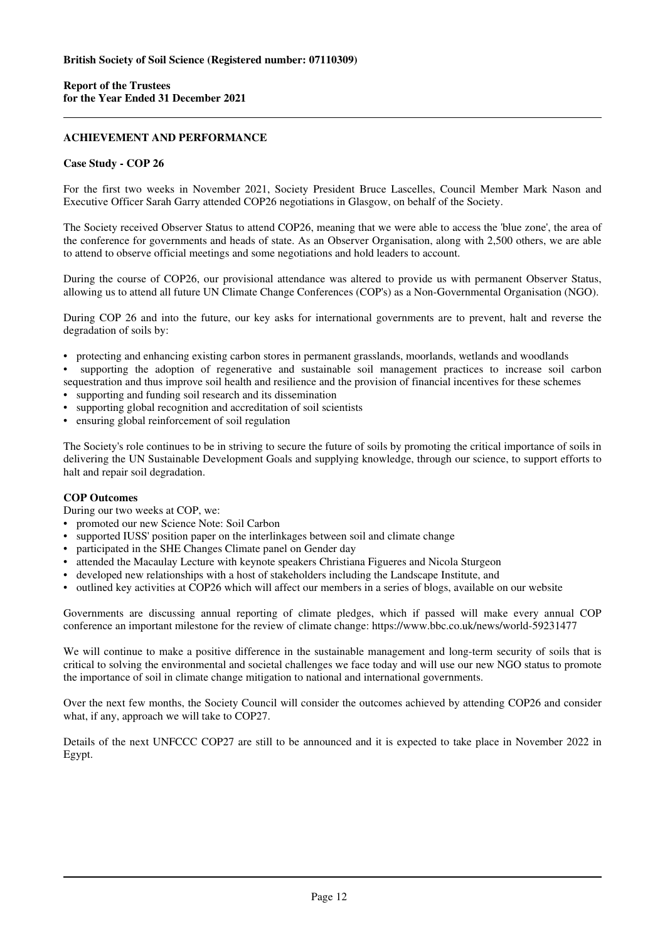# **ACHIEVEMENT AND PERFORMANCE**

# **Case Study - COP 26**

For the first two weeks in November 2021, Society President Bruce Lascelles, Council Member Mark Nason and Executive Officer Sarah Garry attended COP26 negotiations in Glasgow, on behalf of the Society.

The Society received Observer Status to attend COP26, meaning that we were able to access the 'blue zone', the area of the conference for governments and heads of state. As an Observer Organisation, along with 2,500 others, we are able to attend to observe official meetings and some negotiations and hold leaders to account.

During the course of COP26, our provisional attendance was altered to provide us with permanent Observer Status, allowing us to attend all future UN Climate Change Conferences (COP's) as a Non-Governmental Organisation (NGO).

During COP 26 and into the future, our key asks for international governments are to prevent, halt and reverse the degradation of soils by:

• protecting and enhancing existing carbon stores in permanent grasslands, moorlands, wetlands and woodlands

• supporting the adoption of regenerative and sustainable soil management practices to increase soil carbon sequestration and thus improve soil health and resilience and the provision of financial incentives for these schemes

- supporting and funding soil research and its dissemination
- supporting global recognition and accreditation of soil scientists
- ensuring global reinforcement of soil regulation

The Society's role continues to be in striving to secure the future of soils by promoting the critical importance of soils in delivering the UN Sustainable Development Goals and supplying knowledge, through our science, to support efforts to halt and repair soil degradation.

# **COP Outcomes**

During our two weeks at COP, we:

- promoted our new Science Note: Soil Carbon
- supported IUSS' position paper on the interlinkages between soil and climate change
- participated in the SHE Changes Climate panel on Gender day
- attended the Macaulay Lecture with keynote speakers Christiana Figueres and Nicola Sturgeon
- developed new relationships with a host of stakeholders including the Landscape Institute, and
- outlined key activities at COP26 which will affect our members in a series of blogs, available on our website

Governments are discussing annual reporting of climate pledges, which if passed will make every annual COP conference an important milestone for the review of climate change: https://www.bbc.co.uk/news/world-59231477

We will continue to make a positive difference in the sustainable management and long-term security of soils that is critical to solving the environmental and societal challenges we face today and will use our new NGO status to promote the importance of soil in climate change mitigation to national and international governments.

Over the next few months, the Society Council will consider the outcomes achieved by attending COP26 and consider what, if any, approach we will take to COP27.

Details of the next UNFCCC COP27 are still to be announced and it is expected to take place in November 2022 in Egypt.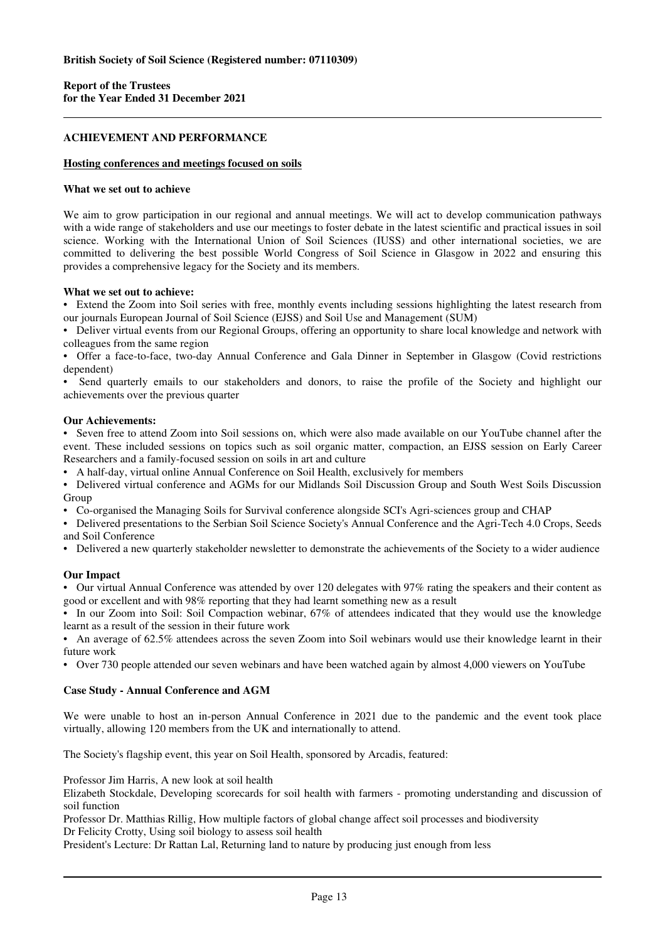# **ACHIEVEMENT AND PERFORMANCE**

### **Hosting conferences and meetings focused on soils**

#### **What we set out to achieve**

We aim to grow participation in our regional and annual meetings. We will act to develop communication pathways with a wide range of stakeholders and use our meetings to foster debate in the latest scientific and practical issues in soil science. Working with the International Union of Soil Sciences (IUSS) and other international societies, we are committed to delivering the best possible World Congress of Soil Science in Glasgow in 2022 and ensuring this provides a comprehensive legacy for the Society and its members.

#### **What we set out to achieve:**

• Extend the Zoom into Soil series with free, monthly events including sessions highlighting the latest research from our journals European Journal of Soil Science (EJSS) and Soil Use and Management (SUM)

• Deliver virtual events from our Regional Groups, offering an opportunity to share local knowledge and network with colleagues from the same region

• Offer a face-to-face, two-day Annual Conference and Gala Dinner in September in Glasgow (Covid restrictions dependent)

• Send quarterly emails to our stakeholders and donors, to raise the profile of the Society and highlight our achievements over the previous quarter

# **Our Achievements:**

• Seven free to attend Zoom into Soil sessions on, which were also made available on our YouTube channel after the event. These included sessions on topics such as soil organic matter, compaction, an EJSS session on Early Career Researchers and a family-focused session on soils in art and culture

• A half-day, virtual online Annual Conference on Soil Health, exclusively for members

• Delivered virtual conference and AGMs for our Midlands Soil Discussion Group and South West Soils Discussion Group

• Co-organised the Managing Soils for Survival conference alongside SCI's Agri-sciences group and CHAP

• Delivered presentations to the Serbian Soil Science Society's Annual Conference and the Agri-Tech 4.0 Crops, Seeds and Soil Conference

• Delivered a new quarterly stakeholder newsletter to demonstrate the achievements of the Society to a wider audience

# **Our Impact**

• Our virtual Annual Conference was attended by over 120 delegates with 97% rating the speakers and their content as good or excellent and with 98% reporting that they had learnt something new as a result

• In our Zoom into Soil: Soil Compaction webinar, 67% of attendees indicated that they would use the knowledge learnt as a result of the session in their future work

• An average of 62.5% attendees across the seven Zoom into Soil webinars would use their knowledge learnt in their future work

• Over 730 people attended our seven webinars and have been watched again by almost 4,000 viewers on YouTube

#### **Case Study - Annual Conference and AGM**

We were unable to host an in-person Annual Conference in 2021 due to the pandemic and the event took place virtually, allowing 120 members from the UK and internationally to attend.

The Society's flagship event, this year on Soil Health, sponsored by Arcadis, featured:

Professor Jim Harris, A new look at soil health

Elizabeth Stockdale, Developing scorecards for soil health with farmers - promoting understanding and discussion of soil function

Professor Dr. Matthias Rillig, How multiple factors of global change affect soil processes and biodiversity Dr Felicity Crotty, Using soil biology to assess soil health

President's Lecture: Dr Rattan Lal, Returning land to nature by producing just enough from less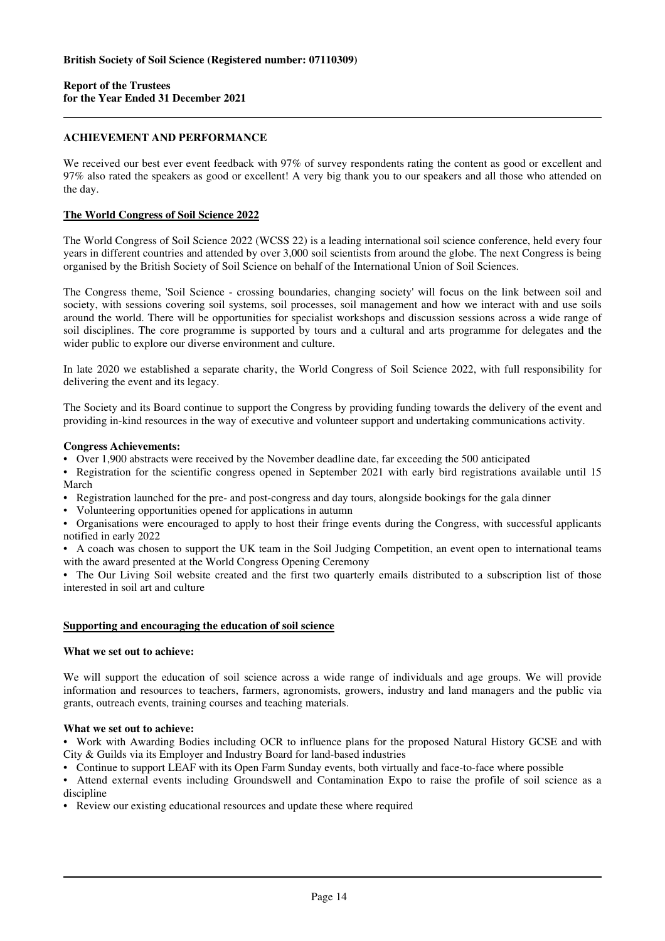# **ACHIEVEMENT AND PERFORMANCE**

We received our best ever event feedback with 97% of survey respondents rating the content as good or excellent and 97% also rated the speakers as good or excellent! A very big thank you to our speakers and all those who attended on the day.

# **The World Congress of Soil Science 2022**

The World Congress of Soil Science 2022 (WCSS 22) is a leading international soil science conference, held every four years in different countries and attended by over 3,000 soil scientists from around the globe. The next Congress is being organised by the British Society of Soil Science on behalf of the International Union of Soil Sciences.

The Congress theme, 'Soil Science - crossing boundaries, changing society' will focus on the link between soil and society, with sessions covering soil systems, soil processes, soil management and how we interact with and use soils around the world. There will be opportunities for specialist workshops and discussion sessions across a wide range of soil disciplines. The core programme is supported by tours and a cultural and arts programme for delegates and the wider public to explore our diverse environment and culture.

In late 2020 we established a separate charity, the World Congress of Soil Science 2022, with full responsibility for delivering the event and its legacy.

The Society and its Board continue to support the Congress by providing funding towards the delivery of the event and providing in-kind resources in the way of executive and volunteer support and undertaking communications activity.

#### **Congress Achievements:**

• Over 1,900 abstracts were received by the November deadline date, far exceeding the 500 anticipated

• Registration for the scientific congress opened in September 2021 with early bird registrations available until 15 March

- Registration launched for the pre- and post-congress and day tours, alongside bookings for the gala dinner
- Volunteering opportunities opened for applications in autumn

• Organisations were encouraged to apply to host their fringe events during the Congress, with successful applicants notified in early 2022

• A coach was chosen to support the UK team in the Soil Judging Competition, an event open to international teams with the award presented at the World Congress Opening Ceremony

• The Our Living Soil website created and the first two quarterly emails distributed to a subscription list of those interested in soil art and culture

#### **Supporting and encouraging the education of soil science**

#### **What we set out to achieve:**

We will support the education of soil science across a wide range of individuals and age groups. We will provide information and resources to teachers, farmers, agronomists, growers, industry and land managers and the public via grants, outreach events, training courses and teaching materials.

# **What we set out to achieve:**

• Work with Awarding Bodies including OCR to influence plans for the proposed Natural History GCSE and with City & Guilds via its Employer and Industry Board for land-based industries

• Continue to support LEAF with its Open Farm Sunday events, both virtually and face-to-face where possible

• Attend external events including Groundswell and Contamination Expo to raise the profile of soil science as a discipline

• Review our existing educational resources and update these where required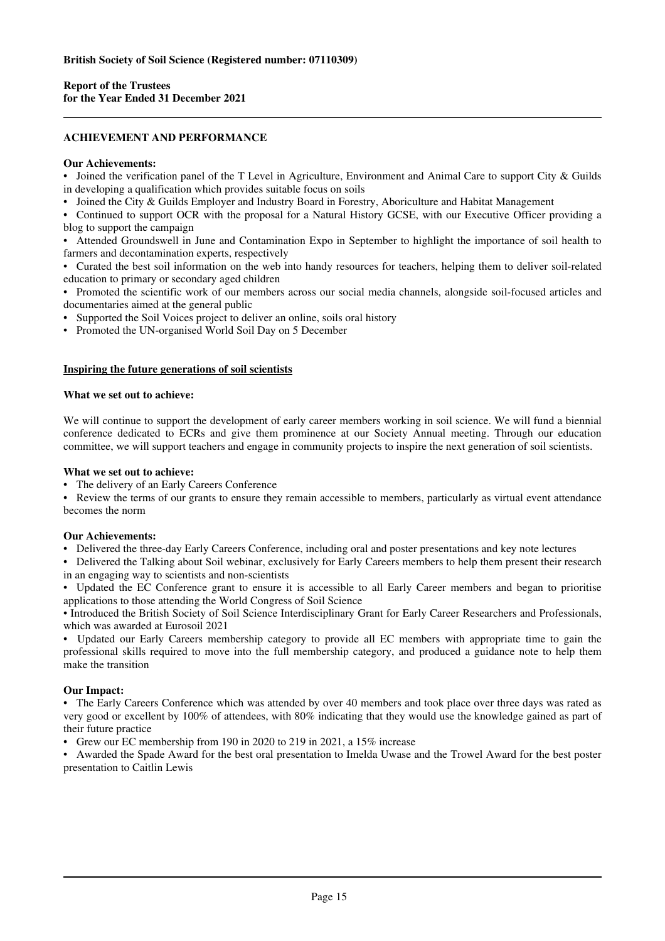# **ACHIEVEMENT AND PERFORMANCE**

# **Our Achievements:**

• Joined the verification panel of the T Level in Agriculture, Environment and Animal Care to support City & Guilds in developing a qualification which provides suitable focus on soils

• Joined the City & Guilds Employer and Industry Board in Forestry, Aboriculture and Habitat Management

• Continued to support OCR with the proposal for a Natural History GCSE, with our Executive Officer providing a blog to support the campaign

• Attended Groundswell in June and Contamination Expo in September to highlight the importance of soil health to farmers and decontamination experts, respectively

• Curated the best soil information on the web into handy resources for teachers, helping them to deliver soil-related education to primary or secondary aged children

• Promoted the scientific work of our members across our social media channels, alongside soil-focused articles and documentaries aimed at the general public

Supported the Soil Voices project to deliver an online, soils oral history

• Promoted the UN-organised World Soil Day on 5 December

#### **Inspiring the future generations of soil scientists**

#### **What we set out to achieve:**

We will continue to support the development of early career members working in soil science. We will fund a biennial conference dedicated to ECRs and give them prominence at our Society Annual meeting. Through our education committee, we will support teachers and engage in community projects to inspire the next generation of soil scientists.

#### **What we set out to achieve:**

• The delivery of an Early Careers Conference

• Review the terms of our grants to ensure they remain accessible to members, particularly as virtual event attendance becomes the norm

# **Our Achievements:**

• Delivered the three-day Early Careers Conference, including oral and poster presentations and key note lectures

• Delivered the Talking about Soil webinar, exclusively for Early Careers members to help them present their research in an engaging way to scientists and non-scientists

• Updated the EC Conference grant to ensure it is accessible to all Early Career members and began to prioritise applications to those attending the World Congress of Soil Science

• Introduced the British Society of Soil Science Interdisciplinary Grant for Early Career Researchers and Professionals, which was awarded at Eurosoil 2021

Updated our Early Careers membership category to provide all EC members with appropriate time to gain the professional skills required to move into the full membership category, and produced a guidance note to help them make the transition

# **Our Impact:**

• The Early Careers Conference which was attended by over 40 members and took place over three days was rated as very good or excellent by 100% of attendees, with 80% indicating that they would use the knowledge gained as part of their future practice

• Grew our EC membership from 190 in 2020 to 219 in 2021, a 15% increase

• Awarded the Spade Award for the best oral presentation to Imelda Uwase and the Trowel Award for the best poster presentation to Caitlin Lewis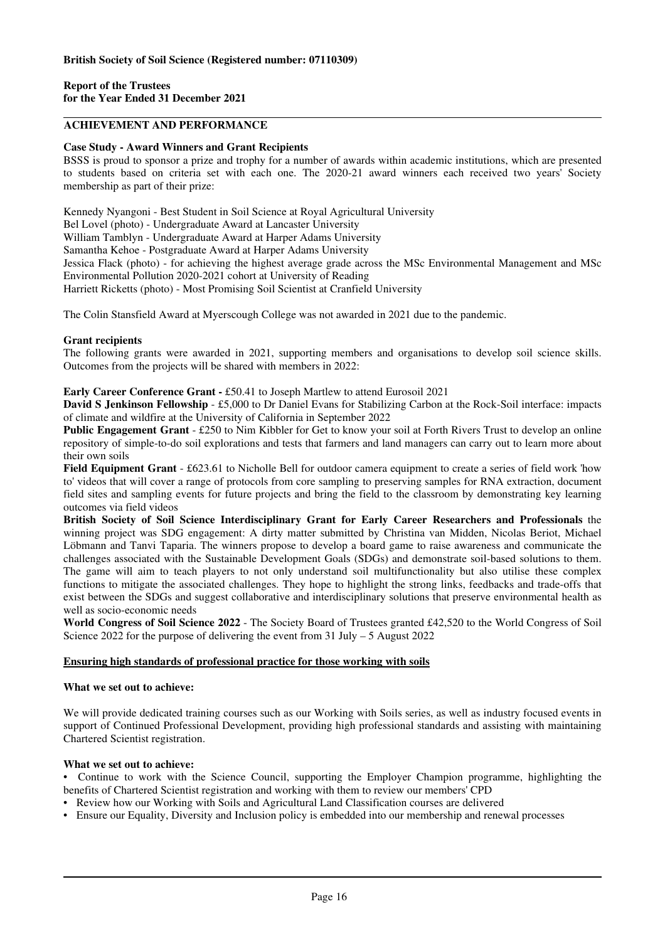# **ACHIEVEMENT AND PERFORMANCE**

# **Case Study - Award Winners and Grant Recipients**

BSSS is proud to sponsor a prize and trophy for a number of awards within academic institutions, which are presented to students based on criteria set with each one. The 2020-21 award winners each received two years' Society membership as part of their prize:

Kennedy Nyangoni - Best Student in Soil Science at Royal Agricultural University Bel Lovel (photo) - Undergraduate Award at Lancaster University William Tamblyn - Undergraduate Award at Harper Adams University Samantha Kehoe - Postgraduate Award at Harper Adams University Jessica Flack (photo) - for achieving the highest average grade across the MSc Environmental Management and MSc Environmental Pollution 2020-2021 cohort at University of Reading Harriett Ricketts (photo) - Most Promising Soil Scientist at Cranfield University

The Colin Stansfield Award at Myerscough College was not awarded in 2021 due to the pandemic.

# **Grant recipients**

The following grants were awarded in 2021, supporting members and organisations to develop soil science skills. Outcomes from the projects will be shared with members in 2022:

# **Early Career Conference Grant -** £50.41 to Joseph Martlew to attend Eurosoil 2021

**David S Jenkinson Fellowship** - £5,000 to Dr Daniel Evans for Stabilizing Carbon at the Rock-Soil interface: impacts of climate and wildfire at the University of California in September 2022

**Public Engagement Grant** - £250 to Nim Kibbler for Get to know your soil at Forth Rivers Trust to develop an online repository of simple-to-do soil explorations and tests that farmers and land managers can carry out to learn more about their own soils

**Field Equipment Grant** - £623.61 to Nicholle Bell for outdoor camera equipment to create a series of field work 'how to' videos that will cover a range of protocols from core sampling to preserving samples for RNA extraction, document field sites and sampling events for future projects and bring the field to the classroom by demonstrating key learning outcomes via field videos

**British Society of Soil Science Interdisciplinary Grant for Early Career Researchers and Professionals** the winning project was SDG engagement: A dirty matter submitted by Christina van Midden, Nicolas Beriot, Michael Löbmann and Tanvi Taparia. The winners propose to develop a board game to raise awareness and communicate the challenges associated with the Sustainable Development Goals (SDGs) and demonstrate soil-based solutions to them. The game will aim to teach players to not only understand soil multifunctionality but also utilise these complex functions to mitigate the associated challenges. They hope to highlight the strong links, feedbacks and trade-offs that exist between the SDGs and suggest collaborative and interdisciplinary solutions that preserve environmental health as well as socio-economic needs

**World Congress of Soil Science 2022** - The Society Board of Trustees granted £42,520 to the World Congress of Soil Science 2022 for the purpose of delivering the event from 31 July – 5 August 2022

# **Ensuring high standards of professional practice for those working with soils**

# **What we set out to achieve:**

We will provide dedicated training courses such as our Working with Soils series, as well as industry focused events in support of Continued Professional Development, providing high professional standards and assisting with maintaining Chartered Scientist registration.

# **What we set out to achieve:**

• Continue to work with the Science Council, supporting the Employer Champion programme, highlighting the benefits of Chartered Scientist registration and working with them to review our members' CPD

- Review how our Working with Soils and Agricultural Land Classification courses are delivered
- Ensure our Equality, Diversity and Inclusion policy is embedded into our membership and renewal processes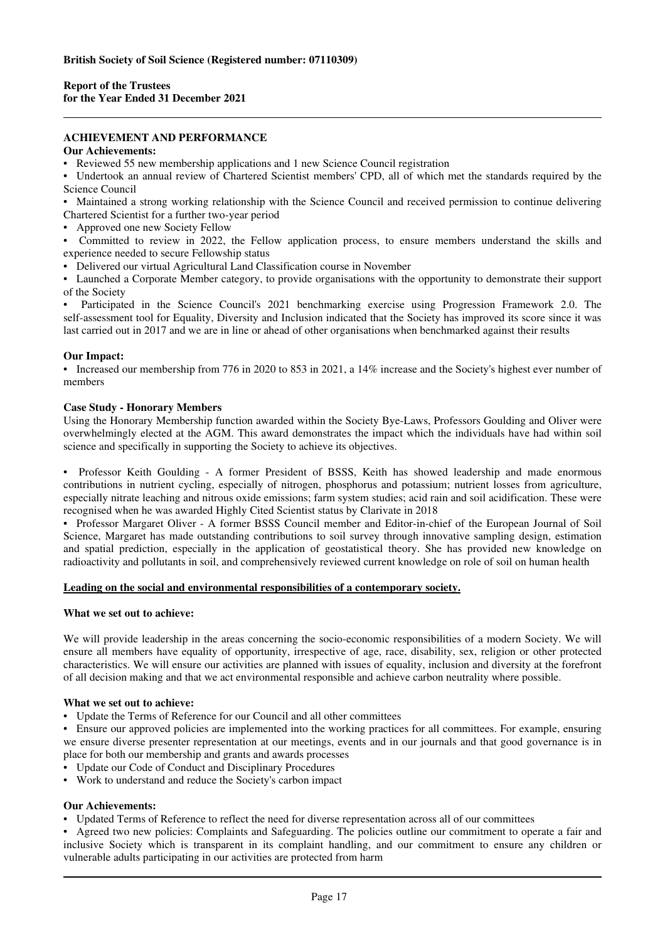# **ACHIEVEMENT AND PERFORMANCE**

#### **Our Achievements:**

• Reviewed 55 new membership applications and 1 new Science Council registration

• Undertook an annual review of Chartered Scientist members' CPD, all of which met the standards required by the Science Council

• Maintained a strong working relationship with the Science Council and received permission to continue delivering Chartered Scientist for a further two-year period

- Approved one new Society Fellow
- Committed to review in 2022, the Fellow application process, to ensure members understand the skills and experience needed to secure Fellowship status
- Delivered our virtual Agricultural Land Classification course in November

• Launched a Corporate Member category, to provide organisations with the opportunity to demonstrate their support of the Society

• Participated in the Science Council's 2021 benchmarking exercise using Progression Framework 2.0. The self-assessment tool for Equality, Diversity and Inclusion indicated that the Society has improved its score since it was last carried out in 2017 and we are in line or ahead of other organisations when benchmarked against their results

#### **Our Impact:**

• Increased our membership from 776 in 2020 to 853 in 2021, a 14% increase and the Society's highest ever number of members

#### **Case Study - Honorary Members**

Using the Honorary Membership function awarded within the Society Bye-Laws, Professors Goulding and Oliver were overwhelmingly elected at the AGM. This award demonstrates the impact which the individuals have had within soil science and specifically in supporting the Society to achieve its objectives.

• Professor Keith Goulding - A former President of BSSS, Keith has showed leadership and made enormous contributions in nutrient cycling, especially of nitrogen, phosphorus and potassium; nutrient losses from agriculture, especially nitrate leaching and nitrous oxide emissions; farm system studies; acid rain and soil acidification. These were recognised when he was awarded Highly Cited Scientist status by Clarivate in 2018

• Professor Margaret Oliver - A former BSSS Council member and Editor-in-chief of the European Journal of Soil Science, Margaret has made outstanding contributions to soil survey through innovative sampling design, estimation and spatial prediction, especially in the application of geostatistical theory. She has provided new knowledge on radioactivity and pollutants in soil, and comprehensively reviewed current knowledge on role of soil on human health

#### **Leading on the social and environmental responsibilities of a contemporary society.**

#### **What we set out to achieve:**

We will provide leadership in the areas concerning the socio-economic responsibilities of a modern Society. We will ensure all members have equality of opportunity, irrespective of age, race, disability, sex, religion or other protected characteristics. We will ensure our activities are planned with issues of equality, inclusion and diversity at the forefront of all decision making and that we act environmental responsible and achieve carbon neutrality where possible.

#### **What we set out to achieve:**

• Update the Terms of Reference for our Council and all other committees

• Ensure our approved policies are implemented into the working practices for all committees. For example, ensuring we ensure diverse presenter representation at our meetings, events and in our journals and that good governance is in place for both our membership and grants and awards processes

- Update our Code of Conduct and Disciplinary Procedures
- Work to understand and reduce the Society's carbon impact

# **Our Achievements:**

• Updated Terms of Reference to reflect the need for diverse representation across all of our committees

• Agreed two new policies: Complaints and Safeguarding. The policies outline our commitment to operate a fair and inclusive Society which is transparent in its complaint handling, and our commitment to ensure any children or vulnerable adults participating in our activities are protected from harm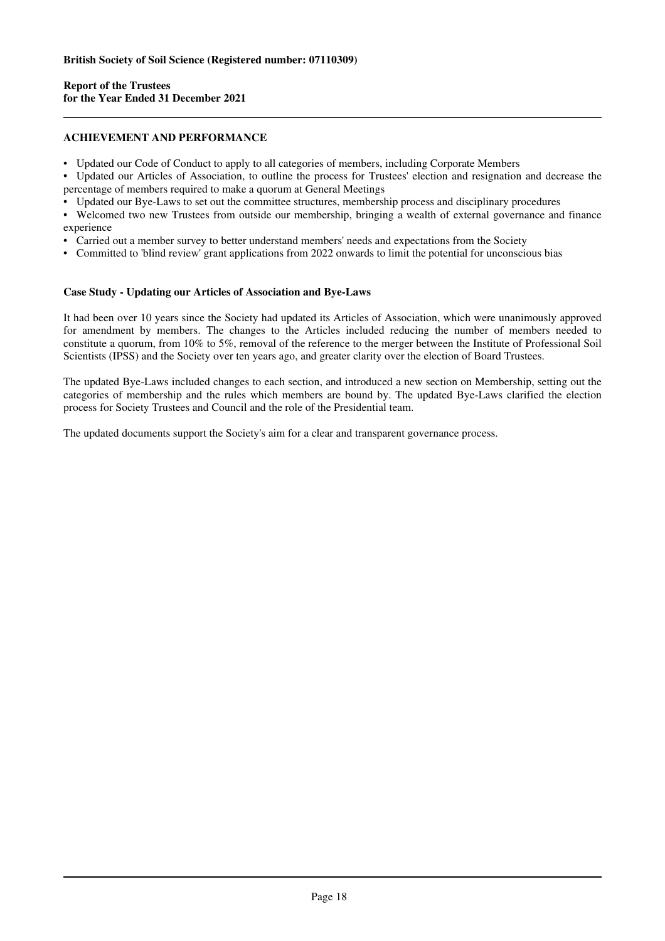# **ACHIEVEMENT AND PERFORMANCE**

- Updated our Code of Conduct to apply to all categories of members, including Corporate Members
- Updated our Articles of Association, to outline the process for Trustees' election and resignation and decrease the percentage of members required to make a quorum at General Meetings
- Updated our Bye-Laws to set out the committee structures, membership process and disciplinary procedures
- Welcomed two new Trustees from outside our membership, bringing a wealth of external governance and finance experience
- Carried out a member survey to better understand members' needs and expectations from the Society
- Committed to 'blind review' grant applications from 2022 onwards to limit the potential for unconscious bias

#### **Case Study - Updating our Articles of Association and Bye-Laws**

It had been over 10 years since the Society had updated its Articles of Association, which were unanimously approved for amendment by members. The changes to the Articles included reducing the number of members needed to constitute a quorum, from 10% to 5%, removal of the reference to the merger between the Institute of Professional Soil Scientists (IPSS) and the Society over ten years ago, and greater clarity over the election of Board Trustees.

The updated Bye-Laws included changes to each section, and introduced a new section on Membership, setting out the categories of membership and the rules which members are bound by. The updated Bye-Laws clarified the election process for Society Trustees and Council and the role of the Presidential team.

The updated documents support the Society's aim for a clear and transparent governance process.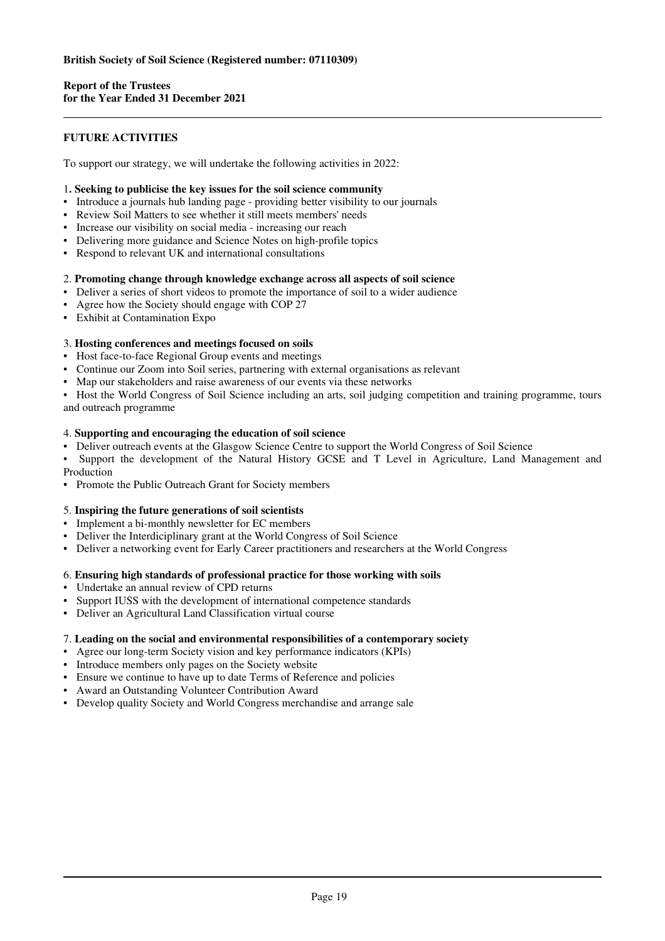# **FUTURE ACTIVITIES**

To support our strategy, we will undertake the following activities in 2022:

# 1**. Seeking to publicise the key issues for the soil science community**

- Introduce a journals hub landing page providing better visibility to our journals
- Review Soil Matters to see whether it still meets members' needs
- Increase our visibility on social media increasing our reach
- Delivering more guidance and Science Notes on high-profile topics
- Respond to relevant UK and international consultations

#### 2. **Promoting change through knowledge exchange across all aspects of soil science**

- Deliver a series of short videos to promote the importance of soil to a wider audience
- Agree how the Society should engage with COP 27
- Exhibit at Contamination Expo

# 3. **Hosting conferences and meetings focused on soils**

- Host face-to-face Regional Group events and meetings
- Continue our Zoom into Soil series, partnering with external organisations as relevant
- Map our stakeholders and raise awareness of our events via these networks

• Host the World Congress of Soil Science including an arts, soil judging competition and training programme, tours and outreach programme

#### 4. **Supporting and encouraging the education of soil science**

- Deliver outreach events at the Glasgow Science Centre to support the World Congress of Soil Science
- Support the development of the Natural History GCSE and T Level in Agriculture, Land Management and Production
- Promote the Public Outreach Grant for Society members

# 5. **Inspiring the future generations of soil scientists**

- Implement a bi-monthly newsletter for EC members
- Deliver the Interdiciplinary grant at the World Congress of Soil Science
- Deliver a networking event for Early Career practitioners and researchers at the World Congress

# 6. **Ensuring high standards of professional practice for those working with soils**

- Undertake an annual review of CPD returns
- Support IUSS with the development of international competence standards
- Deliver an Agricultural Land Classification virtual course

# 7. **Leading on the social and environmental responsibilities of a contemporary society**

- Agree our long-term Society vision and key performance indicators (KPIs)
- Introduce members only pages on the Society website
- Ensure we continue to have up to date Terms of Reference and policies
- Award an Outstanding Volunteer Contribution Award
- Develop quality Society and World Congress merchandise and arrange sale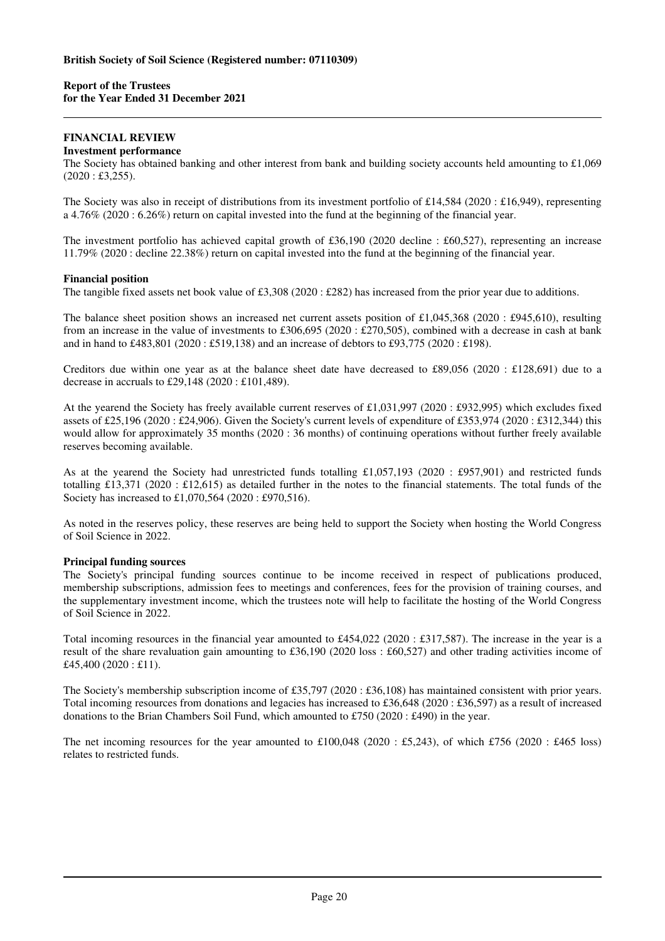### **FINANCIAL REVIEW Investment performance**

The Society has obtained banking and other interest from bank and building society accounts held amounting to £1,069  $(2020 : £3,255).$ 

The Society was also in receipt of distributions from its investment portfolio of £14,584 (2020 : £16,949), representing a 4.76% (2020 : 6.26%) return on capital invested into the fund at the beginning of the financial year.

The investment portfolio has achieved capital growth of £36,190 (2020 decline : £60,527), representing an increase 11.79% (2020 : decline 22.38%) return on capital invested into the fund at the beginning of the financial year.

# **Financial position**

The tangible fixed assets net book value of £3,308 (2020 : £282) has increased from the prior year due to additions.

The balance sheet position shows an increased net current assets position of £1,045,368 (2020 : £945,610), resulting from an increase in the value of investments to £306,695 (2020 : £270,505), combined with a decrease in cash at bank and in hand to £483,801 (2020 : £519,138) and an increase of debtors to £93,775 (2020 : £198).

Creditors due within one year as at the balance sheet date have decreased to £89,056 (2020 : £128,691) due to a decrease in accruals to £29,148 (2020 : £101,489).

At the yearend the Society has freely available current reserves of £1,031,997 (2020 : £932,995) which excludes fixed assets of £25,196 (2020 : £24,906). Given the Society's current levels of expenditure of £353,974 (2020 : £312,344) this would allow for approximately 35 months (2020 : 36 months) of continuing operations without further freely available reserves becoming available.

As at the yearend the Society had unrestricted funds totalling £1,057,193 (2020 : £957,901) and restricted funds totalling £13,371 (2020 : £12,615) as detailed further in the notes to the financial statements. The total funds of the Society has increased to £1,070,564 (2020 : £970,516).

As noted in the reserves policy, these reserves are being held to support the Society when hosting the World Congress of Soil Science in 2022.

#### **Principal funding sources**

The Society's principal funding sources continue to be income received in respect of publications produced, membership subscriptions, admission fees to meetings and conferences, fees for the provision of training courses, and the supplementary investment income, which the trustees note will help to facilitate the hosting of the World Congress of Soil Science in 2022.

Total incoming resources in the financial year amounted to £454,022 (2020 : £317,587). The increase in the year is a result of the share revaluation gain amounting to £36,190 (2020 loss : £60,527) and other trading activities income of £45,400 (2020 : £11).

The Society's membership subscription income of £35,797 (2020 : £36,108) has maintained consistent with prior years. Total incoming resources from donations and legacies has increased to £36,648 (2020 : £36,597) as a result of increased donations to the Brian Chambers Soil Fund, which amounted to £750 (2020 : £490) in the year.

The net incoming resources for the year amounted to  $£100,048$  (2020 : £5,243), of which £756 (2020 : £465 loss) relates to restricted funds.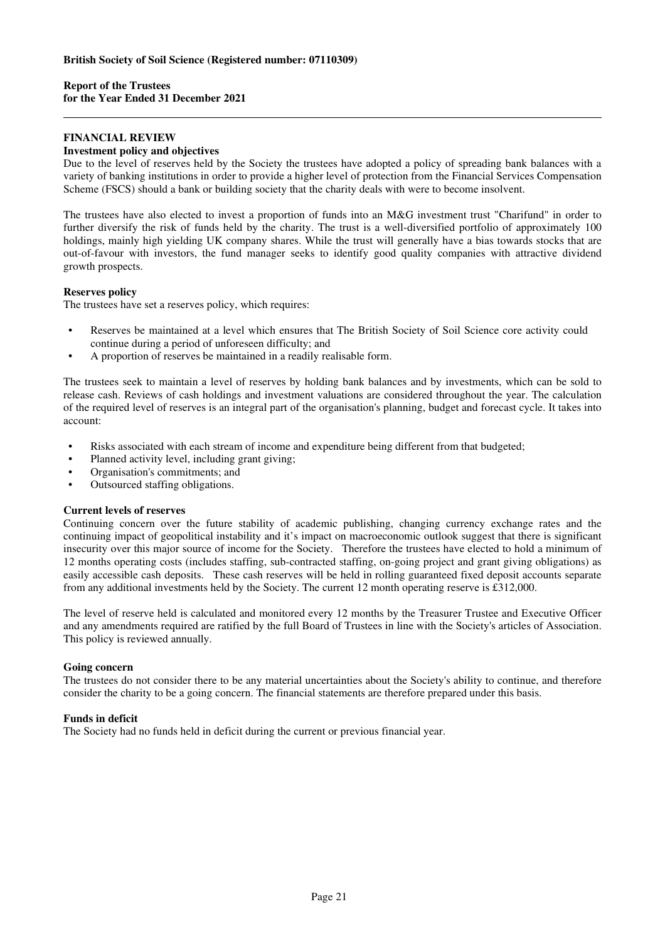# **FINANCIAL REVIEW Investment policy and objectives**

Due to the level of reserves held by the Society the trustees have adopted a policy of spreading bank balances with a variety of banking institutions in order to provide a higher level of protection from the Financial Services Compensation Scheme (FSCS) should a bank or building society that the charity deals with were to become insolvent.

The trustees have also elected to invest a proportion of funds into an M&G investment trust "Charifund" in order to further diversify the risk of funds held by the charity. The trust is a well-diversified portfolio of approximately 100 holdings, mainly high yielding UK company shares. While the trust will generally have a bias towards stocks that are out-of-favour with investors, the fund manager seeks to identify good quality companies with attractive dividend growth prospects.

# **Reserves policy**

The trustees have set a reserves policy, which requires:

- Reserves be maintained at a level which ensures that The British Society of Soil Science core activity could continue during a period of unforeseen difficulty; and
- A proportion of reserves be maintained in a readily realisable form.

The trustees seek to maintain a level of reserves by holding bank balances and by investments, which can be sold to release cash. Reviews of cash holdings and investment valuations are considered throughout the year. The calculation of the required level of reserves is an integral part of the organisation's planning, budget and forecast cycle. It takes into account:

- Risks associated with each stream of income and expenditure being different from that budgeted;
- Planned activity level, including grant giving;
- Organisation's commitments; and
- Outsourced staffing obligations.

# **Current levels of reserves**

Continuing concern over the future stability of academic publishing, changing currency exchange rates and the continuing impact of geopolitical instability and it's impact on macroeconomic outlook suggest that there is significant insecurity over this major source of income for the Society. Therefore the trustees have elected to hold a minimum of 12 months operating costs (includes staffing, sub-contracted staffing, on-going project and grant giving obligations) as easily accessible cash deposits. These cash reserves will be held in rolling guaranteed fixed deposit accounts separate from any additional investments held by the Society. The current 12 month operating reserve is £312,000.

The level of reserve held is calculated and monitored every 12 months by the Treasurer Trustee and Executive Officer and any amendments required are ratified by the full Board of Trustees in line with the Society's articles of Association. This policy is reviewed annually.

# **Going concern**

The trustees do not consider there to be any material uncertainties about the Society's ability to continue, and therefore consider the charity to be a going concern. The financial statements are therefore prepared under this basis.

# **Funds in deficit**

The Society had no funds held in deficit during the current or previous financial year.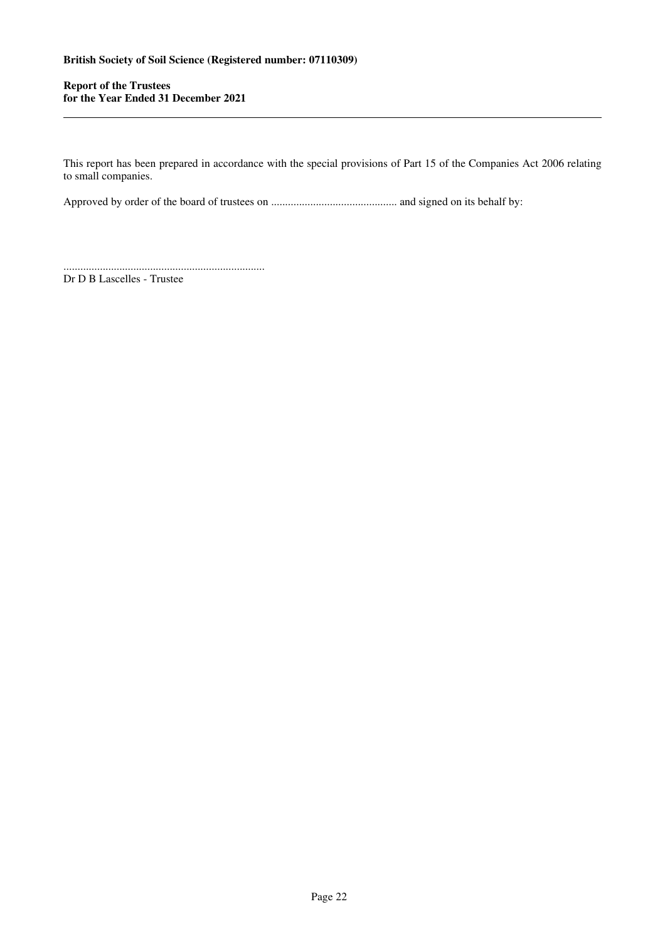This report has been prepared in accordance with the special provisions of Part 15 of the Companies Act 2006 relating to small companies.

Approved by order of the board of trustees on ............................................. and signed on its behalf by:

........................................................................

Dr D B Lascelles - Trustee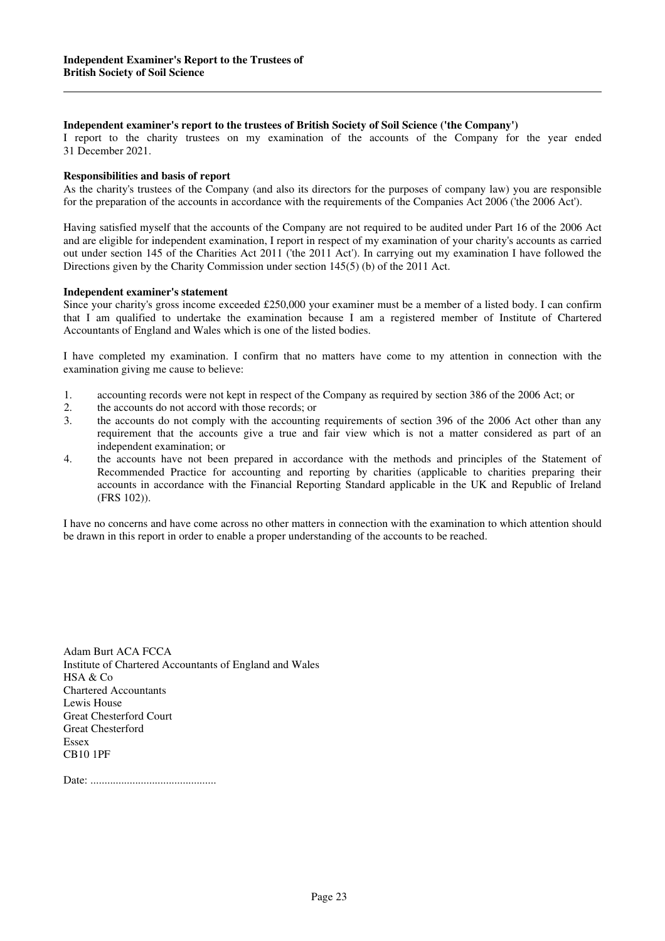### **Independent examiner's report to the trustees of British Society of Soil Science ('the Company')**

I report to the charity trustees on my examination of the accounts of the Company for the year ended 31 December 2021.

#### **Responsibilities and basis of report**

As the charity's trustees of the Company (and also its directors for the purposes of company law) you are responsible for the preparation of the accounts in accordance with the requirements of the Companies Act 2006 ('the 2006 Act').

Having satisfied myself that the accounts of the Company are not required to be audited under Part 16 of the 2006 Act and are eligible for independent examination, I report in respect of my examination of your charity's accounts as carried out under section 145 of the Charities Act 2011 ('the 2011 Act'). In carrying out my examination I have followed the Directions given by the Charity Commission under section 145(5) (b) of the 2011 Act.

#### **Independent examiner's statement**

Since your charity's gross income exceeded £250,000 your examiner must be a member of a listed body. I can confirm that I am qualified to undertake the examination because I am a registered member of Institute of Chartered Accountants of England and Wales which is one of the listed bodies.

I have completed my examination. I confirm that no matters have come to my attention in connection with the examination giving me cause to believe:

- 1. accounting records were not kept in respect of the Company as required by section 386 of the 2006 Act; or
- 2. the accounts do not accord with those records; or<br>3. the accounts do not comply with the accounting
- the accounts do not comply with the accounting requirements of section 396 of the 2006 Act other than any requirement that the accounts give a true and fair view which is not a matter considered as part of an independent examination; or
- 4. the accounts have not been prepared in accordance with the methods and principles of the Statement of Recommended Practice for accounting and reporting by charities (applicable to charities preparing their accounts in accordance with the Financial Reporting Standard applicable in the UK and Republic of Ireland (FRS 102)).

I have no concerns and have come across no other matters in connection with the examination to which attention should be drawn in this report in order to enable a proper understanding of the accounts to be reached.

Adam Burt ACA FCCA Institute of Chartered Accountants of England and Wales HSA & Co Chartered Accountants Lewis House Great Chesterford Court Great Chesterford Essex CB10 1PF

Date: .............................................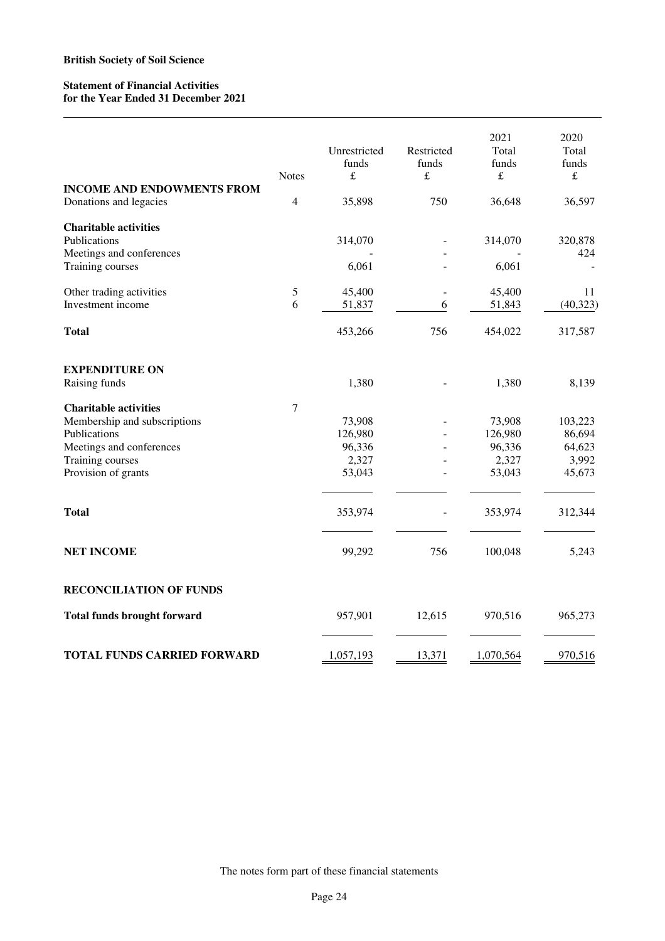# **Statement of Financial Activities for the Year Ended 31 December 2021**

|                                                             | <b>Notes</b>   | Unrestricted<br>funds<br>$\pounds$ | Restricted<br>funds<br>$\pounds$ | 2021<br>Total<br>funds<br>$\pounds$ | 2020<br>Total<br>funds<br>$\pounds$ |
|-------------------------------------------------------------|----------------|------------------------------------|----------------------------------|-------------------------------------|-------------------------------------|
| <b>INCOME AND ENDOWMENTS FROM</b><br>Donations and legacies | $\overline{4}$ | 35,898                             | 750                              | 36,648                              | 36,597                              |
| <b>Charitable activities</b>                                |                |                                    |                                  |                                     |                                     |
| Publications                                                |                | 314,070                            |                                  | 314,070                             | 320,878                             |
| Meetings and conferences                                    |                |                                    |                                  |                                     | 424                                 |
| Training courses                                            |                | 6,061                              |                                  | 6,061                               |                                     |
| Other trading activities                                    | 5              | 45,400                             |                                  | 45,400                              | 11                                  |
| Investment income                                           | 6              | 51,837                             | 6                                | 51,843                              | (40, 323)                           |
| <b>Total</b>                                                |                | 453,266                            | 756                              | 454,022                             | 317,587                             |
| <b>EXPENDITURE ON</b>                                       |                |                                    |                                  |                                     |                                     |
| Raising funds                                               |                | 1,380                              |                                  | 1,380                               | 8,139                               |
| <b>Charitable activities</b>                                | $\tau$         |                                    |                                  |                                     |                                     |
| Membership and subscriptions                                |                | 73,908                             |                                  | 73,908                              | 103,223                             |
| Publications                                                |                | 126,980                            |                                  | 126,980                             | 86,694                              |
| Meetings and conferences                                    |                | 96,336                             |                                  | 96,336                              | 64,623                              |
| Training courses                                            |                | 2,327                              |                                  | 2,327                               | 3,992                               |
| Provision of grants                                         |                | 53,043                             |                                  | 53,043                              | 45,673                              |
| <b>Total</b>                                                |                | 353,974                            |                                  | 353,974                             | 312,344                             |
|                                                             |                |                                    |                                  |                                     |                                     |
| <b>NET INCOME</b>                                           |                | 99,292                             | 756                              | 100,048                             | 5,243                               |
| <b>RECONCILIATION OF FUNDS</b>                              |                |                                    |                                  |                                     |                                     |
| <b>Total funds brought forward</b>                          |                | 957,901                            | 12,615                           | 970,516                             | 965,273                             |
| <b>TOTAL FUNDS CARRIED FORWARD</b>                          |                | 1,057,193                          | 13,371                           | 1,070,564                           | 970,516                             |

The notes form part of these financial statements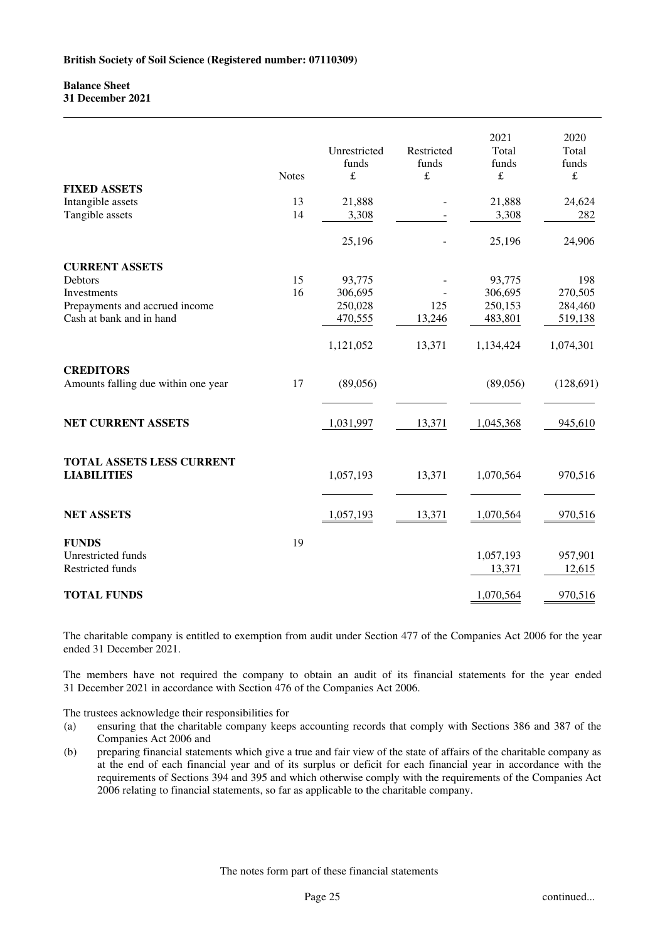# **Balance Sheet 31 December 2021**

|                                                         | <b>Notes</b> | Unrestricted<br>funds<br>$\pounds$ | Restricted<br>funds<br>£ | 2021<br>Total<br>funds<br>$\pounds$ | 2020<br>Total<br>funds<br>$\pounds$ |
|---------------------------------------------------------|--------------|------------------------------------|--------------------------|-------------------------------------|-------------------------------------|
| <b>FIXED ASSETS</b>                                     |              |                                    |                          |                                     |                                     |
| Intangible assets                                       | 13           | 21,888                             |                          | 21,888                              | 24,624                              |
| Tangible assets                                         | 14           | 3,308                              |                          | 3,308                               | 282                                 |
|                                                         |              | 25,196                             |                          | 25,196                              | 24,906                              |
| <b>CURRENT ASSETS</b>                                   |              |                                    |                          |                                     |                                     |
| Debtors                                                 | 15           | 93,775                             |                          | 93,775                              | 198                                 |
| Investments                                             | 16           | 306,695                            |                          | 306,695                             | 270,505                             |
| Prepayments and accrued income                          |              | 250,028                            | 125                      | 250,153                             | 284,460                             |
| Cash at bank and in hand                                |              | 470,555                            | 13,246                   | 483,801                             | 519,138                             |
|                                                         |              | 1,121,052                          | 13,371                   | 1,134,424                           | 1,074,301                           |
| <b>CREDITORS</b><br>Amounts falling due within one year | 17           | (89,056)                           |                          | (89,056)                            | (128, 691)                          |
| NET CURRENT ASSETS                                      |              | 1,031,997                          | 13,371                   | 1,045,368                           | 945,610                             |
| <b>TOTAL ASSETS LESS CURRENT</b><br><b>LIABILITIES</b>  |              | 1,057,193                          | 13,371                   | 1,070,564                           | 970,516                             |
| <b>NET ASSETS</b>                                       |              | 1,057,193                          | 13,371                   | 1,070,564                           | 970,516                             |
| <b>FUNDS</b>                                            | 19           |                                    |                          |                                     |                                     |
| Unrestricted funds                                      |              |                                    |                          | 1,057,193                           | 957,901                             |
| Restricted funds                                        |              |                                    |                          | 13,371                              | 12,615                              |
|                                                         |              |                                    |                          |                                     |                                     |
| <b>TOTAL FUNDS</b>                                      |              |                                    |                          | 1,070,564                           | 970,516                             |

The charitable company is entitled to exemption from audit under Section 477 of the Companies Act 2006 for the year ended 31 December 2021.

The members have not required the company to obtain an audit of its financial statements for the year ended 31 December 2021 in accordance with Section 476 of the Companies Act 2006.

The trustees acknowledge their responsibilities for

- (a) ensuring that the charitable company keeps accounting records that comply with Sections 386 and 387 of the Companies Act 2006 and
- (b) preparing financial statements which give a true and fair view of the state of affairs of the charitable company as at the end of each financial year and of its surplus or deficit for each financial year in accordance with the requirements of Sections 394 and 395 and which otherwise comply with the requirements of the Companies Act 2006 relating to financial statements, so far as applicable to the charitable company.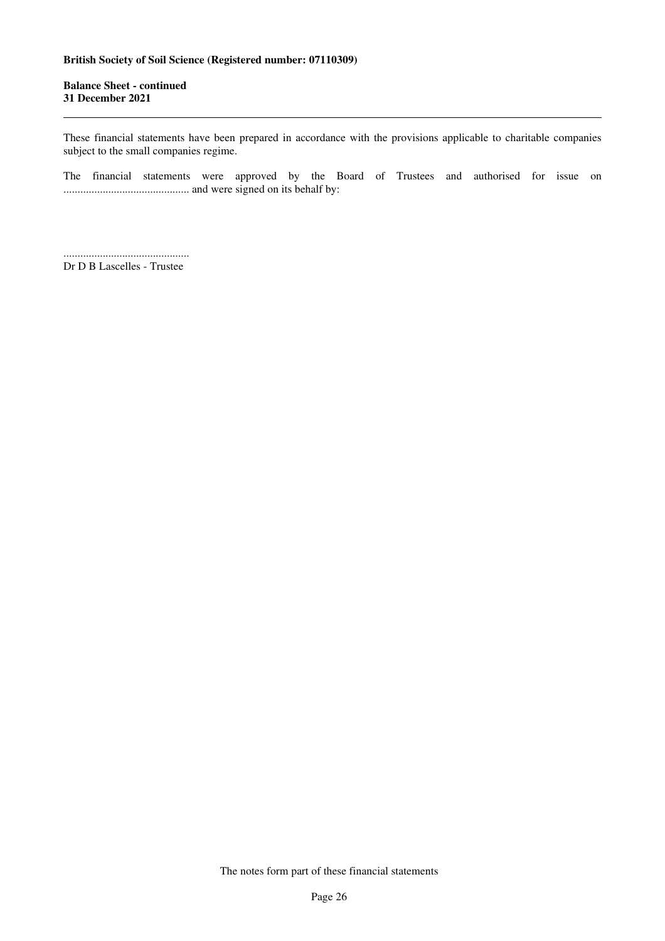**Balance Sheet - continued 31 December 2021** 

These financial statements have been prepared in accordance with the provisions applicable to charitable companies subject to the small companies regime.

The financial statements were approved by the Board of Trustees and authorised for issue on ............................................. and were signed on its behalf by:

............................................. Dr D B Lascelles - Trustee

The notes form part of these financial statements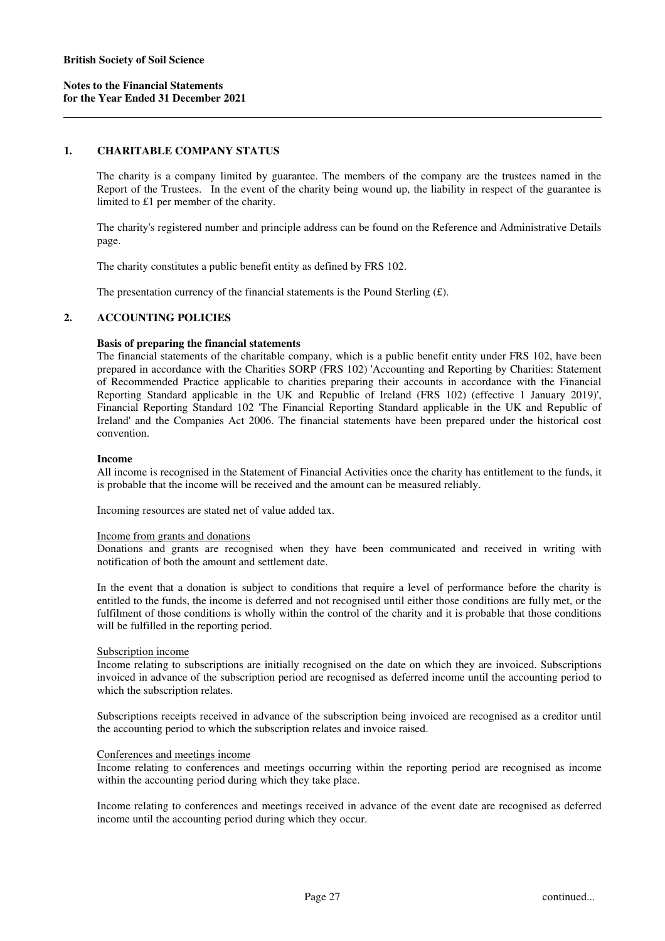# **1. CHARITABLE COMPANY STATUS**

The charity is a company limited by guarantee. The members of the company are the trustees named in the Report of the Trustees. In the event of the charity being wound up, the liability in respect of the guarantee is limited to £1 per member of the charity.

The charity's registered number and principle address can be found on the Reference and Administrative Details page.

The charity constitutes a public benefit entity as defined by FRS 102.

The presentation currency of the financial statements is the Pound Sterling  $(f)$ .

# **2. ACCOUNTING POLICIES**

#### **Basis of preparing the financial statements**

The financial statements of the charitable company, which is a public benefit entity under FRS 102, have been prepared in accordance with the Charities SORP (FRS 102) 'Accounting and Reporting by Charities: Statement of Recommended Practice applicable to charities preparing their accounts in accordance with the Financial Reporting Standard applicable in the UK and Republic of Ireland (FRS 102) (effective 1 January 2019)', Financial Reporting Standard 102 'The Financial Reporting Standard applicable in the UK and Republic of Ireland' and the Companies Act 2006. The financial statements have been prepared under the historical cost convention.

### **Income**

All income is recognised in the Statement of Financial Activities once the charity has entitlement to the funds, it is probable that the income will be received and the amount can be measured reliably.

Incoming resources are stated net of value added tax.

#### Income from grants and donations

Donations and grants are recognised when they have been communicated and received in writing with notification of both the amount and settlement date.

In the event that a donation is subject to conditions that require a level of performance before the charity is entitled to the funds, the income is deferred and not recognised until either those conditions are fully met, or the fulfilment of those conditions is wholly within the control of the charity and it is probable that those conditions will be fulfilled in the reporting period.

#### Subscription income

Income relating to subscriptions are initially recognised on the date on which they are invoiced. Subscriptions invoiced in advance of the subscription period are recognised as deferred income until the accounting period to which the subscription relates.

Subscriptions receipts received in advance of the subscription being invoiced are recognised as a creditor until the accounting period to which the subscription relates and invoice raised.

#### Conferences and meetings income

Income relating to conferences and meetings occurring within the reporting period are recognised as income within the accounting period during which they take place.

Income relating to conferences and meetings received in advance of the event date are recognised as deferred income until the accounting period during which they occur.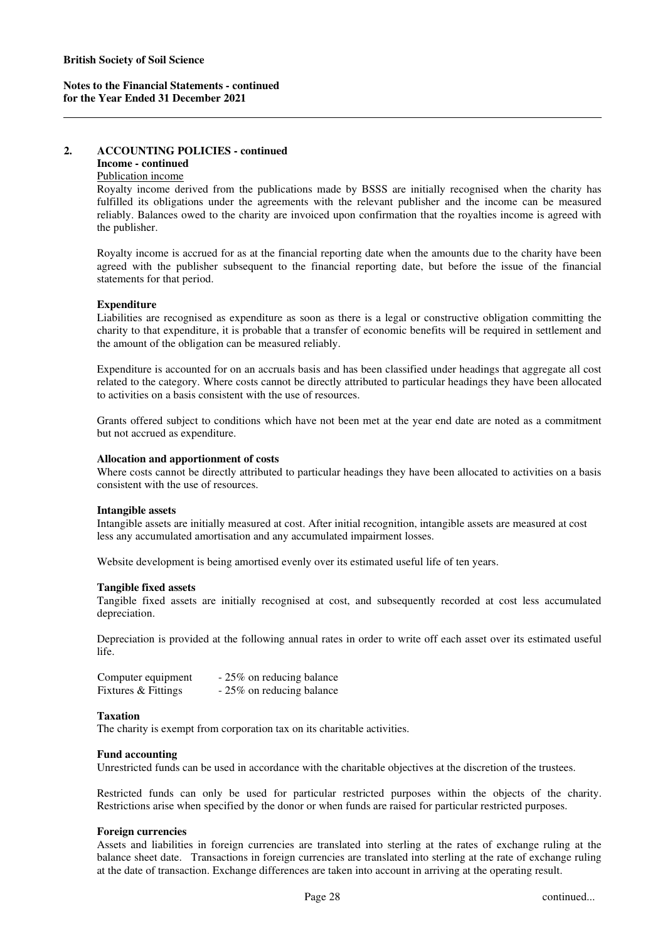# **2. ACCOUNTING POLICIES - continued**

# **Income - continued**

# Publication income

Royalty income derived from the publications made by BSSS are initially recognised when the charity has fulfilled its obligations under the agreements with the relevant publisher and the income can be measured reliably. Balances owed to the charity are invoiced upon confirmation that the royalties income is agreed with the publisher.

Royalty income is accrued for as at the financial reporting date when the amounts due to the charity have been agreed with the publisher subsequent to the financial reporting date, but before the issue of the financial statements for that period.

# **Expenditure**

Liabilities are recognised as expenditure as soon as there is a legal or constructive obligation committing the charity to that expenditure, it is probable that a transfer of economic benefits will be required in settlement and the amount of the obligation can be measured reliably.

Expenditure is accounted for on an accruals basis and has been classified under headings that aggregate all cost related to the category. Where costs cannot be directly attributed to particular headings they have been allocated to activities on a basis consistent with the use of resources.

Grants offered subject to conditions which have not been met at the year end date are noted as a commitment but not accrued as expenditure.

# **Allocation and apportionment of costs**

Where costs cannot be directly attributed to particular headings they have been allocated to activities on a basis consistent with the use of resources.

# **Intangible assets**

Intangible assets are initially measured at cost. After initial recognition, intangible assets are measured at cost less any accumulated amortisation and any accumulated impairment losses.

Website development is being amortised evenly over its estimated useful life of ten years.

#### **Tangible fixed assets**

Tangible fixed assets are initially recognised at cost, and subsequently recorded at cost less accumulated depreciation.

Depreciation is provided at the following annual rates in order to write off each asset over its estimated useful life.

| Computer equipment  | - 25% on reducing balance |
|---------------------|---------------------------|
| Fixtures & Fittings | - 25% on reducing balance |

# **Taxation**

The charity is exempt from corporation tax on its charitable activities.

#### **Fund accounting**

Unrestricted funds can be used in accordance with the charitable objectives at the discretion of the trustees.

Restricted funds can only be used for particular restricted purposes within the objects of the charity. Restrictions arise when specified by the donor or when funds are raised for particular restricted purposes.

# **Foreign currencies**

Assets and liabilities in foreign currencies are translated into sterling at the rates of exchange ruling at the balance sheet date. Transactions in foreign currencies are translated into sterling at the rate of exchange ruling at the date of transaction. Exchange differences are taken into account in arriving at the operating result.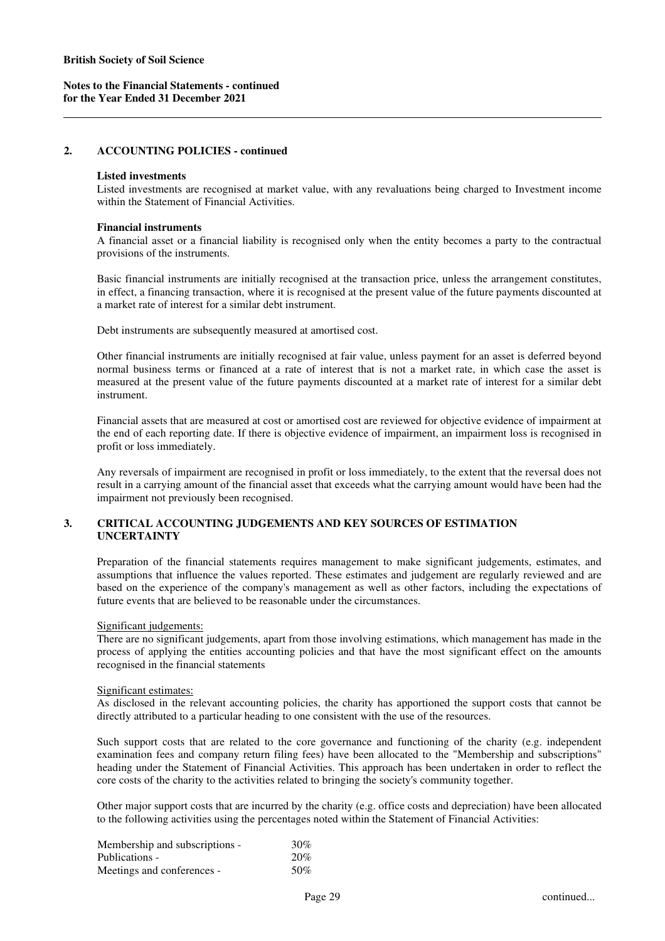#### **2. ACCOUNTING POLICIES - continued**

#### **Listed investments**

Listed investments are recognised at market value, with any revaluations being charged to Investment income within the Statement of Financial Activities.

#### **Financial instruments**

A financial asset or a financial liability is recognised only when the entity becomes a party to the contractual provisions of the instruments.

Basic financial instruments are initially recognised at the transaction price, unless the arrangement constitutes, in effect, a financing transaction, where it is recognised at the present value of the future payments discounted at a market rate of interest for a similar debt instrument.

Debt instruments are subsequently measured at amortised cost.

Other financial instruments are initially recognised at fair value, unless payment for an asset is deferred beyond normal business terms or financed at a rate of interest that is not a market rate, in which case the asset is measured at the present value of the future payments discounted at a market rate of interest for a similar debt instrument.

Financial assets that are measured at cost or amortised cost are reviewed for objective evidence of impairment at the end of each reporting date. If there is objective evidence of impairment, an impairment loss is recognised in profit or loss immediately.

Any reversals of impairment are recognised in profit or loss immediately, to the extent that the reversal does not result in a carrying amount of the financial asset that exceeds what the carrying amount would have been had the impairment not previously been recognised.

# **3. CRITICAL ACCOUNTING JUDGEMENTS AND KEY SOURCES OF ESTIMATION UNCERTAINTY**

Preparation of the financial statements requires management to make significant judgements, estimates, and assumptions that influence the values reported. These estimates and judgement are regularly reviewed and are based on the experience of the company's management as well as other factors, including the expectations of future events that are believed to be reasonable under the circumstances.

#### Significant judgements:

There are no significant judgements, apart from those involving estimations, which management has made in the process of applying the entities accounting policies and that have the most significant effect on the amounts recognised in the financial statements

#### Significant estimates:

As disclosed in the relevant accounting policies, the charity has apportioned the support costs that cannot be directly attributed to a particular heading to one consistent with the use of the resources.

Such support costs that are related to the core governance and functioning of the charity (e.g. independent examination fees and company return filing fees) have been allocated to the "Membership and subscriptions" heading under the Statement of Financial Activities. This approach has been undertaken in order to reflect the core costs of the charity to the activities related to bringing the society's community together.

Other major support costs that are incurred by the charity (e.g. office costs and depreciation) have been allocated to the following activities using the percentages noted within the Statement of Financial Activities:

| Membership and subscriptions - | 30% |
|--------------------------------|-----|
| Publications -                 | 20% |
| Meetings and conferences -     | 50% |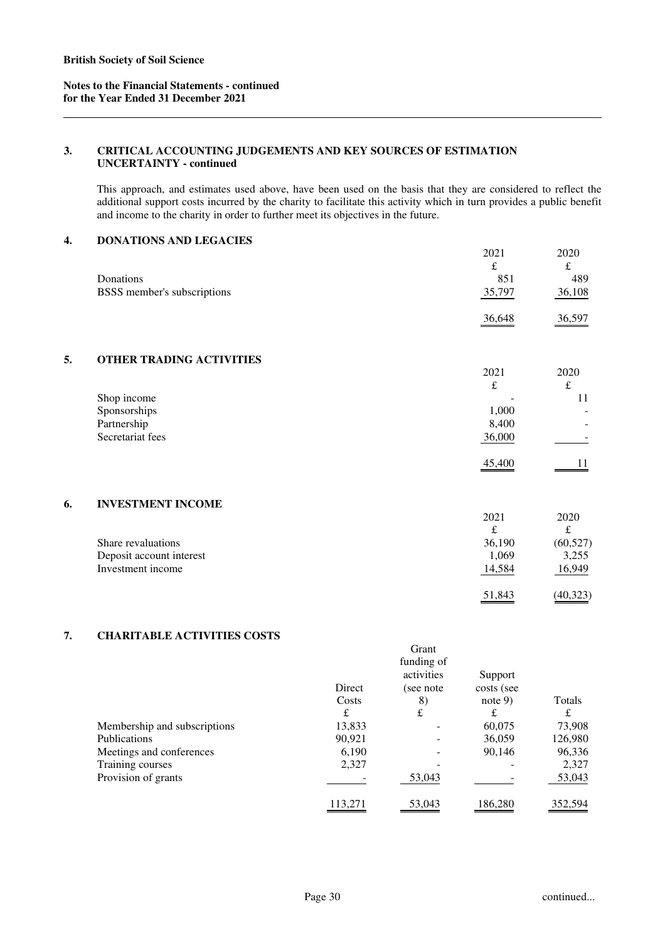# **3. CRITICAL ACCOUNTING JUDGEMENTS AND KEY SOURCES OF ESTIMATION UNCERTAINTY - continued**

This approach, and estimates used above, have been used on the basis that they are considered to reflect the additional support costs incurred by the charity to facilitate this activity which in turn provides a public benefit and income to the charity in order to further meet its objectives in the future.

# **4. DONATIONS AND LEGACIES**

|                             | 2021   | 2020          |
|-----------------------------|--------|---------------|
|                             | £      | ∼             |
| Donations                   | 851    | 489           |
| BSSS member's subscriptions | 35,797 | 36,108        |
|                             | 36,648 | <u>36,597</u> |

# **5. OTHER TRADING ACTIVITIES**

|                  | 2021   | 2020 |
|------------------|--------|------|
|                  | £      | ىلە  |
| Shop income      |        |      |
| Sponsorships     | 1,000  | ۰    |
| Partnership      | 8,400  | -    |
| Secretariat fees | 36,000 | -    |
|                  | 45,400 |      |

# **6. INVESTMENT INCOME**

|                          | 2021   | 2020      |
|--------------------------|--------|-----------|
|                          | £      | £         |
| Share revaluations       | 36,190 | (60, 527) |
| Deposit account interest | 1,069  | 3,255     |
| Investment income        | 14,584 | 16,949    |
|                          | 51,843 | (40,323)  |

# **7. CHARITABLE ACTIVITIES COSTS**

| еним превистителей сорто     |         |            |            |         |
|------------------------------|---------|------------|------------|---------|
|                              |         | Grant      |            |         |
|                              |         | funding of |            |         |
|                              |         | activities | Support    |         |
|                              | Direct  | (see note  | costs (see |         |
|                              | Costs   | 8)         | note $9$ ) | Totals  |
|                              | £       | £          | £          | £       |
| Membership and subscriptions | 13,833  |            | 60,075     | 73,908  |
| <b>Publications</b>          | 90,921  |            | 36,059     | 126,980 |
| Meetings and conferences     | 6,190   |            | 90,146     | 96,336  |
| Training courses             | 2,327   |            |            | 2,327   |
| Provision of grants          |         | 53,043     |            | 53,043  |
|                              | 113,271 | 53,043     | 186,280    | 352,594 |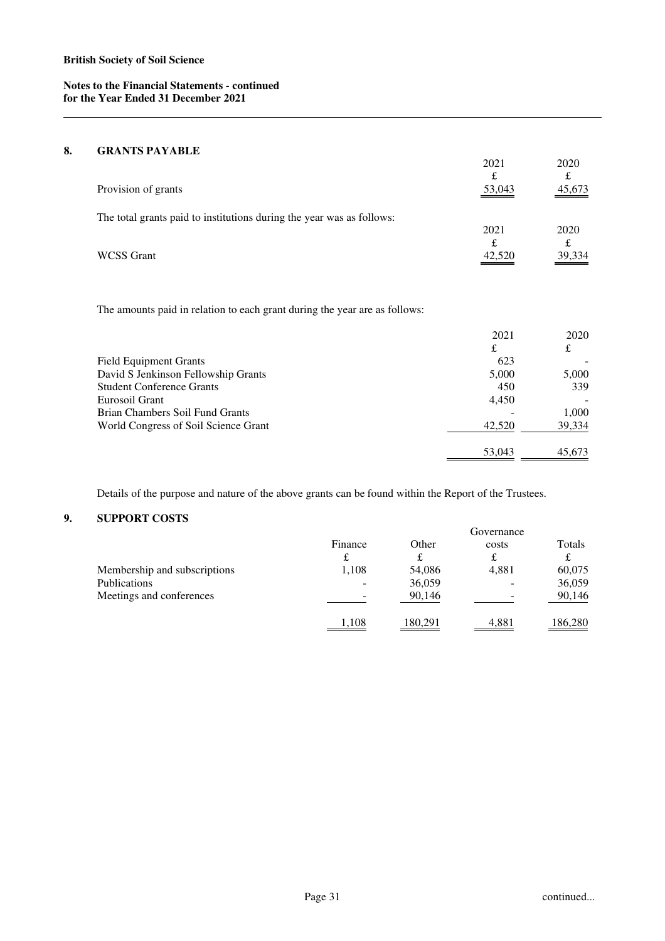# **8. GRANTS PAYABLE**

|                                                                       | 2021<br>£ | 2020<br>£   |
|-----------------------------------------------------------------------|-----------|-------------|
| Provision of grants                                                   | 53,043    | 45,673      |
| The total grants paid to institutions during the year was as follows: | 2021      | 2020        |
| <b>WCSS</b> Grant                                                     | £         | £<br>39,334 |

The amounts paid in relation to each grant during the year are as follows:

|                                      | 2021   | 2020   |
|--------------------------------------|--------|--------|
|                                      | £      | £      |
| <b>Field Equipment Grants</b>        | 623    |        |
| David S Jenkinson Fellowship Grants  | 5,000  | 5,000  |
| <b>Student Conference Grants</b>     | 450    | 339    |
| Eurosoil Grant                       | 4.450  |        |
| Brian Chambers Soil Fund Grants      |        | 1,000  |
| World Congress of Soil Science Grant | 42,520 | 39,334 |
|                                      |        |        |
|                                      | 53,043 | 45.673 |

Details of the purpose and nature of the above grants can be found within the Report of the Trustees.

# **9. SUPPORT COSTS**

|                              |         |         | Governance |         |
|------------------------------|---------|---------|------------|---------|
|                              | Finance | Other   | costs      | Totals  |
|                              | £       | ┻       | £          | £       |
| Membership and subscriptions | 1.108   | 54,086  | 4,881      | 60,075  |
| <b>Publications</b>          |         | 36,059  |            | 36,059  |
| Meetings and conferences     |         | 90,146  |            | 90,146  |
|                              | 1.108   | 180.291 | 4.881      | 186,280 |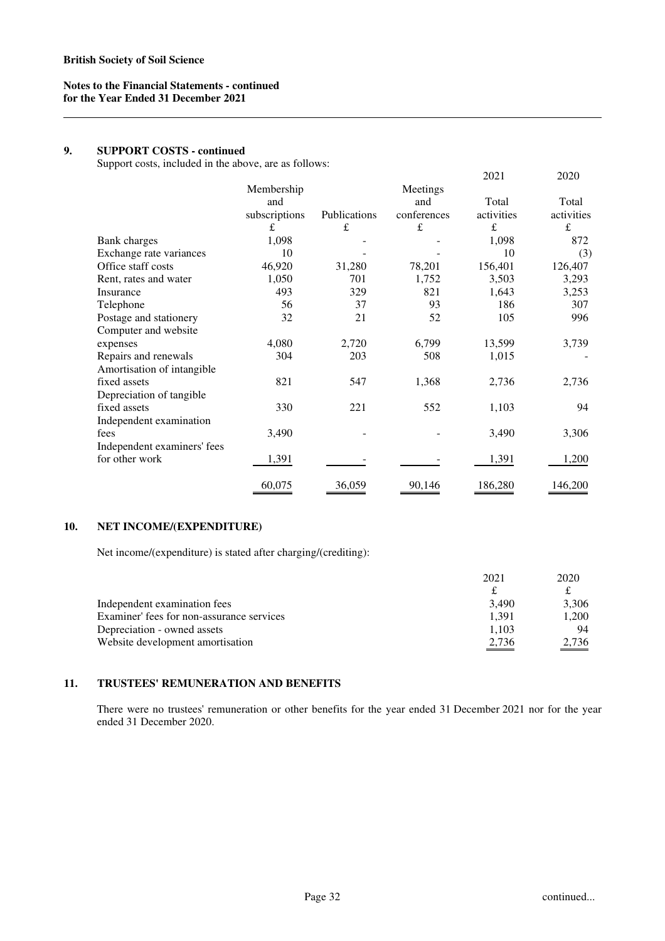# **9. SUPPORT COSTS - continued**

Support costs, included in the above, are as follows:

| $\mathbf{r}$                |               |              |             | 2021       | 2020       |
|-----------------------------|---------------|--------------|-------------|------------|------------|
|                             | Membership    |              | Meetings    |            |            |
|                             | and           |              | and         | Total      | Total      |
|                             | subscriptions | Publications | conferences | activities | activities |
|                             | £             | $\pounds$    | $\pounds$   | $\pounds$  | £          |
| Bank charges                | 1,098         |              |             | 1,098      | 872        |
| Exchange rate variances     | 10            |              |             | 10         | (3)        |
| Office staff costs          | 46,920        | 31,280       | 78,201      | 156,401    | 126,407    |
| Rent, rates and water       | 1,050         | 701          | 1,752       | 3,503      | 3,293      |
| Insurance                   | 493           | 329          | 821         | 1,643      | 3,253      |
| Telephone                   | 56            | 37           | 93          | 186        | 307        |
| Postage and stationery      | 32            | 21           | 52          | 105        | 996        |
| Computer and website        |               |              |             |            |            |
| expenses                    | 4,080         | 2,720        | 6,799       | 13,599     | 3,739      |
| Repairs and renewals        | 304           | 203          | 508         | 1,015      |            |
| Amortisation of intangible  |               |              |             |            |            |
| fixed assets                | 821           | 547          | 1,368       | 2,736      | 2,736      |
| Depreciation of tangible    |               |              |             |            |            |
| fixed assets                | 330           | 221          | 552         | 1,103      | 94         |
| Independent examination     |               |              |             |            |            |
| fees                        | 3,490         |              |             | 3,490      | 3,306      |
| Independent examiners' fees |               |              |             |            |            |
| for other work              | 1,391         |              |             | 1,391      | 1,200      |
|                             | 60,075        | 36,059       | 90,146      | 186,280    | 146,200    |

# **10. NET INCOME/(EXPENDITURE)**

Net income/(expenditure) is stated after charging/(crediting):

|                                           | 2021  | 2020  |
|-------------------------------------------|-------|-------|
|                                           |       |       |
| Independent examination fees              | 3.490 | 3.306 |
| Examiner' fees for non-assurance services | 1.391 | 1,200 |
| Depreciation - owned assets               | 1.103 | 94    |
| Website development amortisation          | 2,736 | 2,736 |

# **11. TRUSTEES' REMUNERATION AND BENEFITS**

There were no trustees' remuneration or other benefits for the year ended 31 December 2021 nor for the year ended 31 December 2020.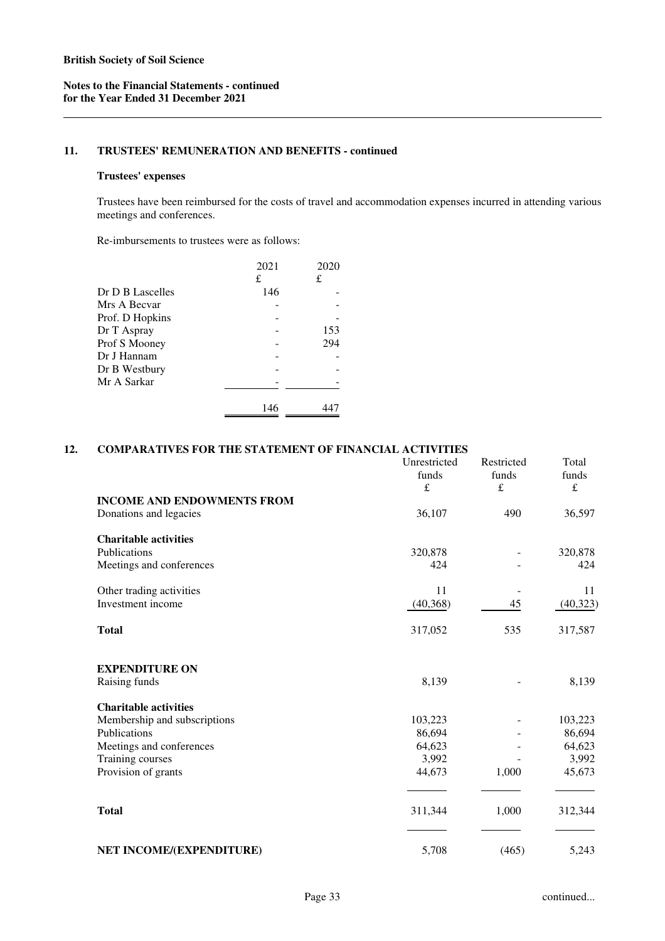# **11. TRUSTEES' REMUNERATION AND BENEFITS - continued**

#### **Trustees' expenses**

Trustees have been reimbursed for the costs of travel and accommodation expenses incurred in attending various meetings and conferences.

Re-imbursements to trustees were as follows:

|                  | 2021 | 2020 |
|------------------|------|------|
|                  | £    | £    |
| Dr D B Lascelles | 146  |      |
| Mrs A Becvar     |      |      |
| Prof. D Hopkins  |      |      |
| Dr T Aspray      |      | 153  |
| Prof S Mooney    |      | 294  |
| Dr J Hannam      |      |      |
| Dr B Westbury    |      |      |
| Mr A Sarkar      |      |      |
|                  | 146  |      |

# **12. COMPARATIVES FOR THE STATEMENT OF FINANCIAL ACTIVITIES**

|                                                             | Unrestricted<br>funds<br>£ | Restricted<br>funds<br>$\pounds$ | Total<br>funds<br>£ |
|-------------------------------------------------------------|----------------------------|----------------------------------|---------------------|
| <b>INCOME AND ENDOWMENTS FROM</b><br>Donations and legacies | 36,107                     | 490                              | 36,597              |
|                                                             |                            |                                  |                     |
| <b>Charitable activities</b><br>Publications                | 320,878                    |                                  | 320,878             |
| Meetings and conferences                                    | 424                        |                                  | 424                 |
| Other trading activities                                    | 11                         |                                  | 11                  |
| Investment income                                           | (40, 368)                  | 45                               | (40, 323)           |
| <b>Total</b>                                                | 317,052                    | 535                              | 317,587             |
| <b>EXPENDITURE ON</b>                                       |                            |                                  |                     |
| Raising funds                                               | 8,139                      |                                  | 8,139               |
| <b>Charitable activities</b>                                |                            |                                  |                     |
| Membership and subscriptions                                | 103,223                    |                                  | 103,223             |
| Publications                                                | 86,694                     |                                  | 86,694              |
| Meetings and conferences                                    | 64,623                     |                                  | 64,623              |
| Training courses<br>Provision of grants                     | 3,992<br>44,673            | 1,000                            | 3,992<br>45,673     |
|                                                             |                            |                                  |                     |
| <b>Total</b>                                                | 311,344                    | 1,000                            | 312,344             |
| NET INCOME/(EXPENDITURE)                                    | 5,708                      | (465)                            | 5,243               |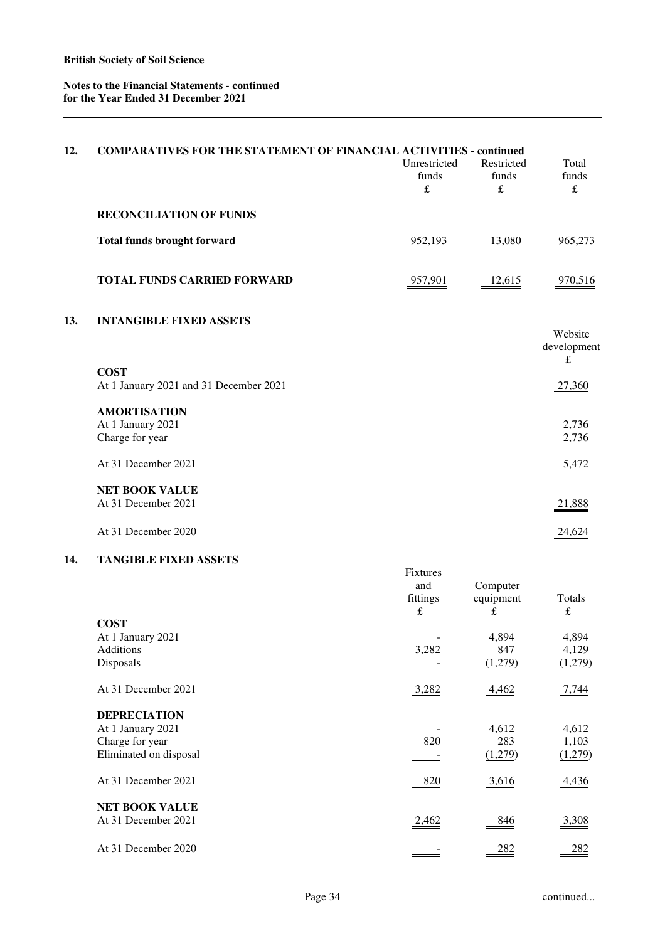| 12. | <b>COMPARATIVES FOR THE STATEMENT OF FINANCIAL ACTIVITIES - continued</b>             | Unrestricted<br>funds<br>$\pounds$              | Restricted<br>funds<br>$\pounds$ | Total<br>funds<br>$\pounds$ |
|-----|---------------------------------------------------------------------------------------|-------------------------------------------------|----------------------------------|-----------------------------|
|     | <b>RECONCILIATION OF FUNDS</b>                                                        |                                                 |                                  |                             |
|     | <b>Total funds brought forward</b>                                                    | 952,193                                         | 13,080                           | 965,273                     |
|     | TOTAL FUNDS CARRIED FORWARD                                                           | 957,901                                         | 12,615                           | 970,516                     |
| 13. | <b>INTANGIBLE FIXED ASSETS</b>                                                        |                                                 |                                  | Website<br>development      |
|     | <b>COST</b><br>At 1 January 2021 and 31 December 2021                                 |                                                 |                                  | $\pounds$<br>27,360         |
|     | <b>AMORTISATION</b><br>At 1 January 2021<br>Charge for year                           |                                                 |                                  | 2,736<br>2,736              |
|     | At 31 December 2021                                                                   |                                                 |                                  | 5,472                       |
|     | <b>NET BOOK VALUE</b><br>At 31 December 2021                                          |                                                 |                                  | 21,888                      |
|     | At 31 December 2020                                                                   |                                                 |                                  | 24,624                      |
| 14. | <b>TANGIBLE FIXED ASSETS</b>                                                          | <b>Fixtures</b><br>and<br>fittings<br>$\pounds$ | Computer<br>equipment<br>£       | <b>Totals</b><br>$\pounds$  |
|     | <b>COST</b><br>At 1 January 2021<br>Additions<br>Disposals                            | 3,282                                           | 4,894<br>847<br>(1,279)          | 4,894<br>4,129<br>(1,279)   |
|     | At 31 December 2021                                                                   | 3,282                                           | 4,462                            | 7,744                       |
|     | <b>DEPRECIATION</b><br>At 1 January 2021<br>Charge for year<br>Eliminated on disposal | 820                                             | 4,612<br>283<br>(1,279)          | 4,612<br>1,103<br>(1,279)   |
|     | At 31 December 2021                                                                   | 820                                             | 3,616                            | 4,436                       |
|     | <b>NET BOOK VALUE</b><br>At 31 December 2021                                          | 2,462                                           | 846                              | 3,308                       |

At 31 December 2020 282 282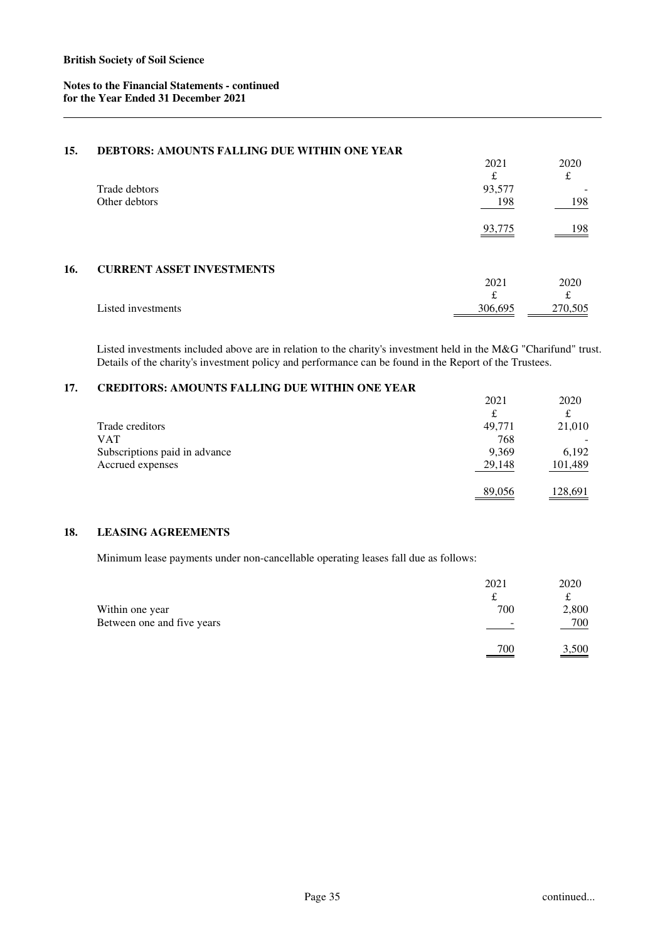# **15. DEBTORS: AMOUNTS FALLING DUE WITHIN ONE YEAR**

|     |                                  | 2021    | 2020    |
|-----|----------------------------------|---------|---------|
|     |                                  | £       | £       |
|     | Trade debtors                    | 93,577  |         |
|     | Other debtors                    | 198     | 198     |
|     |                                  | 93,775  | 198     |
| 16. | <b>CURRENT ASSET INVESTMENTS</b> |         |         |
|     |                                  | 2021    | 2020    |
|     |                                  | £       | £       |
|     | Listed investments               | 306,695 | 270,505 |

Listed investments included above are in relation to the charity's investment held in the M&G "Charifund" trust. Details of the charity's investment policy and performance can be found in the Report of the Trustees.

# **17. CREDITORS: AMOUNTS FALLING DUE WITHIN ONE YEAR**

|                               | 2021   | 2020    |
|-------------------------------|--------|---------|
|                               | £      | £       |
| Trade creditors               | 49,771 | 21,010  |
| VAT                           | 768    |         |
| Subscriptions paid in advance | 9,369  | 6,192   |
| Accrued expenses              | 29,148 | 101,489 |
|                               | 89,056 | 128,691 |

# **18. LEASING AGREEMENTS**

Minimum lease payments under non-cancellable operating leases fall due as follows:

|                            | 2021                                              | 2020  |
|----------------------------|---------------------------------------------------|-------|
|                            | ىم                                                | ىم    |
| Within one year            | 700                                               | 2,800 |
| Between one and five years | $\overline{\phantom{0}}$                          | 700   |
|                            | 700<br>$\qquad \qquad \overbrace{\qquad \qquad }$ | 3,500 |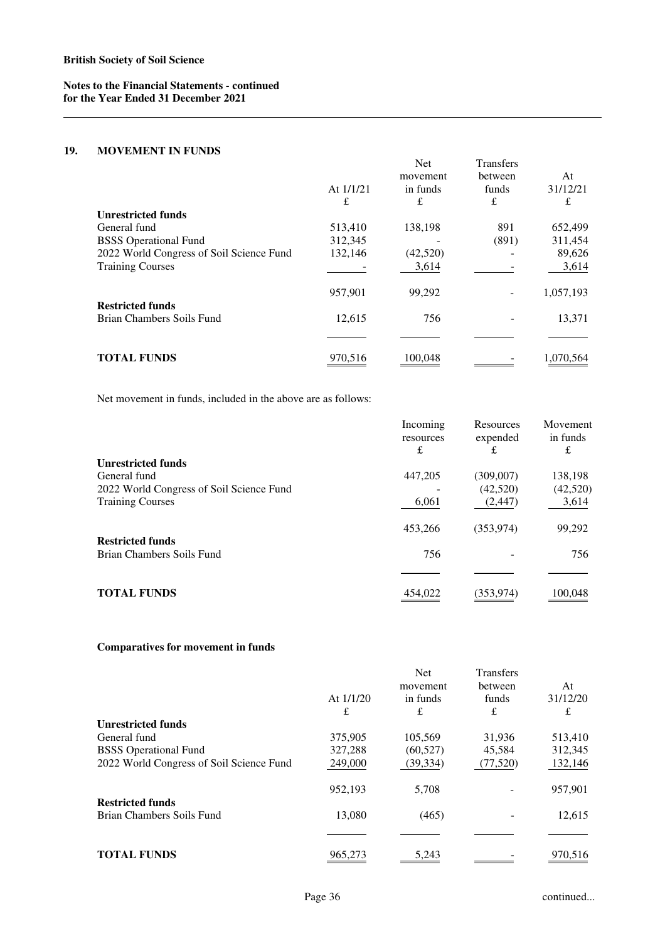# **19. MOVEMENT IN FUNDS**

|                                                      |             | <b>Net</b>           | <b>Transfers</b> |                |
|------------------------------------------------------|-------------|----------------------|------------------|----------------|
|                                                      | At $1/1/21$ | movement<br>in funds | between<br>funds | At<br>31/12/21 |
|                                                      | £           | £                    | £                | £              |
| <b>Unrestricted funds</b>                            |             |                      |                  |                |
| General fund                                         | 513,410     | 138,198              | 891              | 652,499        |
| <b>BSSS</b> Operational Fund                         | 312,345     |                      | (891)            | 311,454        |
| 2022 World Congress of Soil Science Fund             | 132,146     | (42,520)             |                  | 89,626         |
| <b>Training Courses</b>                              |             | 3,614                |                  | 3,614          |
|                                                      | 957,901     | 99,292               |                  | 1,057,193      |
| <b>Restricted funds</b><br>Brian Chambers Soils Fund | 12,615      | 756                  |                  | 13,371         |
|                                                      |             |                      |                  |                |
| <b>TOTAL FUNDS</b>                                   | 970,516     | 100.048              |                  | 1.070.564      |

Net movement in funds, included in the above are as follows:

|                                          | Incoming<br>resources | Resources<br>expended | Movement<br>in funds |
|------------------------------------------|-----------------------|-----------------------|----------------------|
|                                          | £                     | £                     | £                    |
| <b>Unrestricted funds</b>                |                       |                       |                      |
| General fund                             | 447,205               | (309,007)             | 138,198              |
| 2022 World Congress of Soil Science Fund |                       | (42,520)              | (42,520)             |
| <b>Training Courses</b>                  | 6,061                 | (2, 447)              | 3,614                |
|                                          | 453,266               | (353, 974)            | 99,292               |
| <b>Restricted funds</b>                  |                       |                       |                      |
| Brian Chambers Soils Fund                | 756                   |                       | 756                  |
|                                          |                       |                       |                      |
| <b>TOTAL FUNDS</b>                       | 454.022               | (353,974)             | 100,048              |

# **Comparatives for movement in funds**

|                                          | At $1/1/20$<br>£ | <b>Net</b><br>movement<br>in funds<br>£ | <b>Transfers</b><br>between<br>funds<br>£ | At<br>31/12/20<br>£ |
|------------------------------------------|------------------|-----------------------------------------|-------------------------------------------|---------------------|
| <b>Unrestricted funds</b>                |                  |                                         |                                           |                     |
| General fund                             | 375,905          | 105,569                                 | 31,936                                    | 513,410             |
| <b>BSSS</b> Operational Fund             | 327,288          | (60, 527)                               | 45,584                                    | 312,345             |
| 2022 World Congress of Soil Science Fund | 249,000          | (39, 334)                               | (77, 520)                                 | 132,146             |
|                                          | 952,193          | 5,708                                   |                                           | 957,901             |
| <b>Restricted funds</b>                  |                  |                                         |                                           |                     |
| Brian Chambers Soils Fund                | 13,080           | (465)                                   |                                           | 12,615              |
|                                          |                  |                                         |                                           |                     |
| <b>TOTAL FUNDS</b>                       | 965,273          | 5,243                                   |                                           | 970,516             |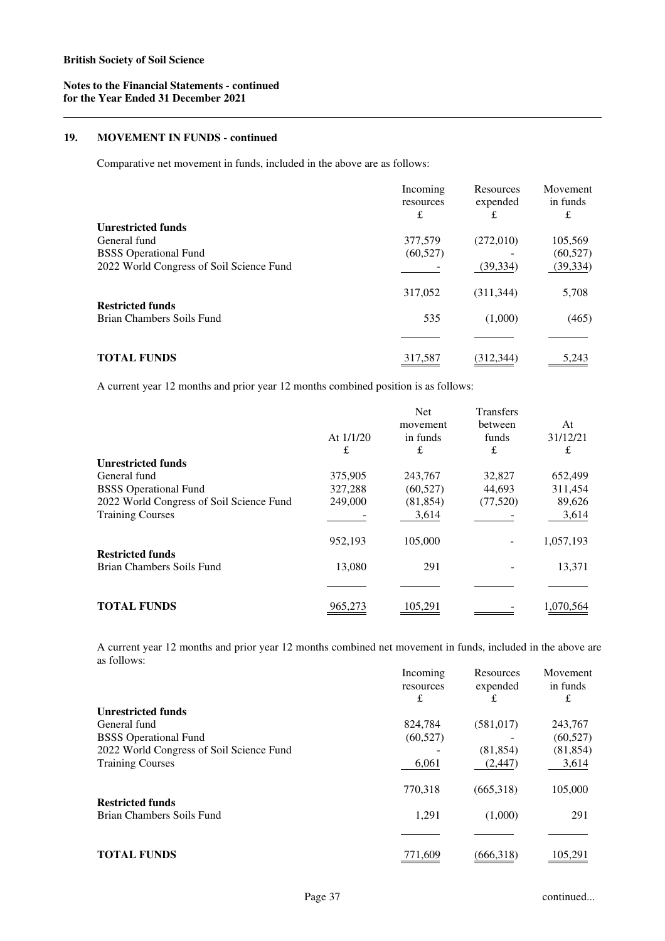#### **19. MOVEMENT IN FUNDS - continued**

Comparative net movement in funds, included in the above are as follows:

|                                          | Incoming<br>resources | Resources<br>expended | Movement<br>in funds |
|------------------------------------------|-----------------------|-----------------------|----------------------|
| <b>Unrestricted funds</b>                | £                     | £                     | £                    |
|                                          |                       |                       |                      |
| General fund                             | 377,579               | (272,010)             | 105,569              |
| <b>BSSS</b> Operational Fund             | (60, 527)             |                       | (60, 527)            |
| 2022 World Congress of Soil Science Fund |                       | (39, 334)             | (39, 334)            |
| <b>Restricted funds</b>                  | 317,052               | (311, 344)            | 5,708                |
| Brian Chambers Soils Fund                | 535                   | (1,000)               | (465)                |
|                                          |                       |                       |                      |
| <b>TOTAL FUNDS</b>                       | 317,587               | (312.344)             | 5.243                |

A current year 12 months and prior year 12 months combined position is as follows:

|                                          |             | <b>Net</b><br>movement | <b>Transfers</b><br>between | At        |
|------------------------------------------|-------------|------------------------|-----------------------------|-----------|
|                                          | At $1/1/20$ | in funds               | funds                       | 31/12/21  |
|                                          | £           | £                      | £                           | £         |
| <b>Unrestricted funds</b>                |             |                        |                             |           |
| General fund                             | 375,905     | 243,767                | 32,827                      | 652,499   |
| <b>BSSS</b> Operational Fund             | 327,288     | (60, 527)              | 44,693                      | 311,454   |
| 2022 World Congress of Soil Science Fund | 249,000     | (81, 854)              | (77,520)                    | 89,626    |
| <b>Training Courses</b>                  |             | 3,614                  |                             | 3,614     |
|                                          | 952,193     | 105,000                |                             | 1,057,193 |
| <b>Restricted funds</b>                  |             |                        |                             |           |
| Brian Chambers Soils Fund                | 13,080      | 291                    |                             | 13,371    |
|                                          |             |                        |                             |           |
| <b>TOTAL FUNDS</b>                       | 965 273     | 105.291                |                             | 1.070.564 |

A current year 12 months and prior year 12 months combined net movement in funds, included in the above are as follows:

|                                          | Incoming<br>resources<br>£ | Resources<br>expended<br>£ | Movement<br>in funds<br>£ |
|------------------------------------------|----------------------------|----------------------------|---------------------------|
|                                          |                            |                            |                           |
| <b>Unrestricted funds</b>                |                            |                            |                           |
| General fund                             | 824,784                    | (581, 017)                 | 243,767                   |
| <b>BSSS</b> Operational Fund             | (60, 527)                  |                            | (60, 527)                 |
| 2022 World Congress of Soil Science Fund |                            | (81, 854)                  | (81, 854)                 |
| <b>Training Courses</b>                  | 6,061                      | (2, 447)                   | 3,614                     |
|                                          | 770,318                    | (665,318)                  | 105,000                   |
| <b>Restricted funds</b>                  |                            |                            |                           |
| Brian Chambers Soils Fund                | 1,291                      | (1,000)                    | 291                       |
|                                          |                            |                            |                           |
| <b>TOTAL FUNDS</b>                       | 771,609                    | (666,318)                  | 105,291                   |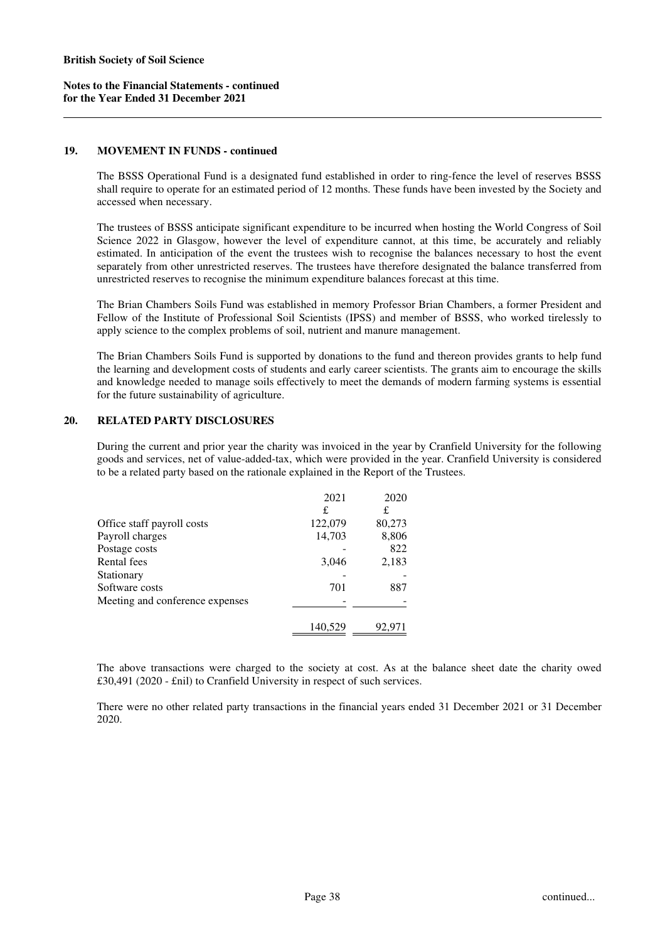#### **19. MOVEMENT IN FUNDS - continued**

The BSSS Operational Fund is a designated fund established in order to ring-fence the level of reserves BSSS shall require to operate for an estimated period of 12 months. These funds have been invested by the Society and accessed when necessary.

The trustees of BSSS anticipate significant expenditure to be incurred when hosting the World Congress of Soil Science 2022 in Glasgow, however the level of expenditure cannot, at this time, be accurately and reliably estimated. In anticipation of the event the trustees wish to recognise the balances necessary to host the event separately from other unrestricted reserves. The trustees have therefore designated the balance transferred from unrestricted reserves to recognise the minimum expenditure balances forecast at this time.

The Brian Chambers Soils Fund was established in memory Professor Brian Chambers, a former President and Fellow of the Institute of Professional Soil Scientists (IPSS) and member of BSSS, who worked tirelessly to apply science to the complex problems of soil, nutrient and manure management.

The Brian Chambers Soils Fund is supported by donations to the fund and thereon provides grants to help fund the learning and development costs of students and early career scientists. The grants aim to encourage the skills and knowledge needed to manage soils effectively to meet the demands of modern farming systems is essential for the future sustainability of agriculture.

#### **20. RELATED PARTY DISCLOSURES**

During the current and prior year the charity was invoiced in the year by Cranfield University for the following goods and services, net of value-added-tax, which were provided in the year. Cranfield University is considered to be a related party based on the rationale explained in the Report of the Trustees.

|                                 | 2021    | 2020   |
|---------------------------------|---------|--------|
|                                 | £       | £      |
| Office staff payroll costs      | 122,079 | 80,273 |
| Payroll charges                 | 14,703  | 8,806  |
| Postage costs                   |         | 822    |
| Rental fees                     | 3,046   | 2,183  |
| Stationary                      |         |        |
| Software costs                  | 701     | 887    |
| Meeting and conference expenses |         |        |
|                                 | 140,529 | 92,971 |

The above transactions were charged to the society at cost. As at the balance sheet date the charity owed £30,491 (2020 - £nil) to Cranfield University in respect of such services.

There were no other related party transactions in the financial years ended 31 December 2021 or 31 December 2020.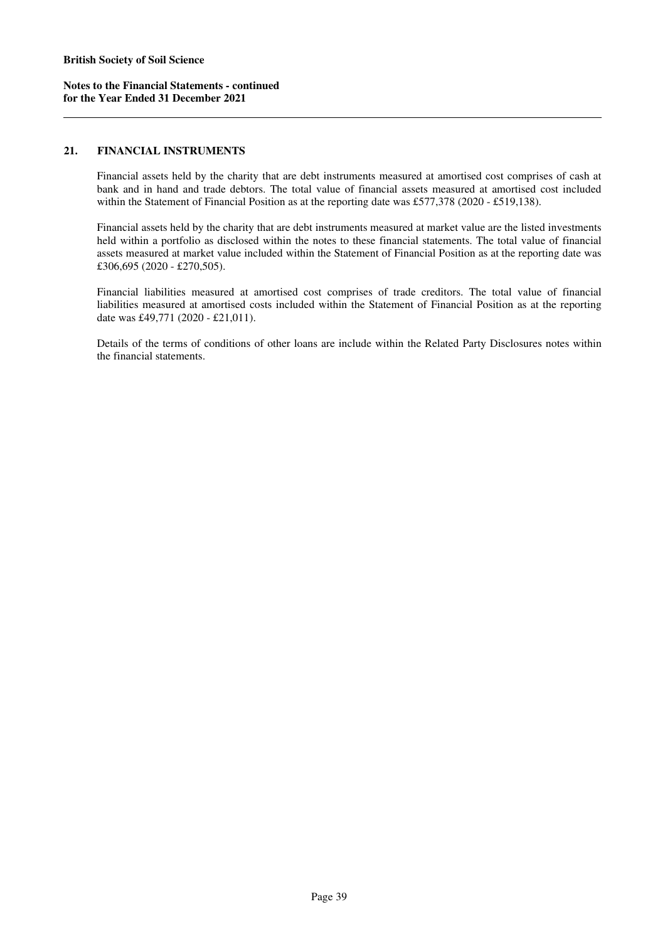# **21. FINANCIAL INSTRUMENTS**

Financial assets held by the charity that are debt instruments measured at amortised cost comprises of cash at bank and in hand and trade debtors. The total value of financial assets measured at amortised cost included within the Statement of Financial Position as at the reporting date was £577,378 (2020 - £519,138).

Financial assets held by the charity that are debt instruments measured at market value are the listed investments held within a portfolio as disclosed within the notes to these financial statements. The total value of financial assets measured at market value included within the Statement of Financial Position as at the reporting date was £306,695 (2020 - £270,505).

Financial liabilities measured at amortised cost comprises of trade creditors. The total value of financial liabilities measured at amortised costs included within the Statement of Financial Position as at the reporting date was £49,771 (2020 - £21,011).

Details of the terms of conditions of other loans are include within the Related Party Disclosures notes within the financial statements.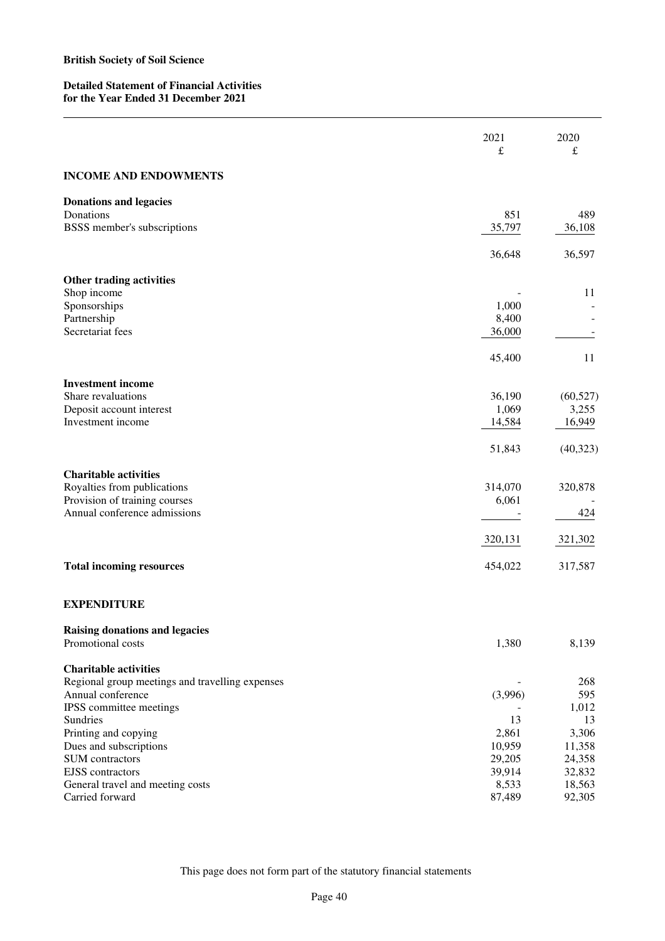# **Detailed Statement of Financial Activities for the Year Ended 31 December 2021**

|                                                 | 2021<br>£        | 2020<br>£        |
|-------------------------------------------------|------------------|------------------|
| <b>INCOME AND ENDOWMENTS</b>                    |                  |                  |
| <b>Donations and legacies</b>                   |                  |                  |
| Donations<br>BSSS member's subscriptions        | 851<br>35,797    | 489<br>36,108    |
|                                                 |                  |                  |
|                                                 | 36,648           | 36,597           |
| Other trading activities                        |                  |                  |
| Shop income                                     |                  | 11               |
| Sponsorships<br>Partnership                     | 1,000<br>8,400   |                  |
| Secretariat fees                                | 36,000           |                  |
|                                                 |                  |                  |
|                                                 | 45,400           | 11               |
| <b>Investment income</b>                        |                  |                  |
| Share revaluations                              | 36,190           | (60, 527)        |
| Deposit account interest                        | 1,069            | 3,255            |
| Investment income                               | 14,584           | 16,949           |
|                                                 | 51,843           | (40, 323)        |
| <b>Charitable activities</b>                    |                  |                  |
| Royalties from publications                     | 314,070          | 320,878          |
| Provision of training courses                   | 6,061            |                  |
| Annual conference admissions                    |                  | 424              |
|                                                 | 320,131          | 321,302          |
| <b>Total incoming resources</b>                 | 454,022          | 317,587          |
| <b>EXPENDITURE</b>                              |                  |                  |
| <b>Raising donations and legacies</b>           |                  |                  |
| Promotional costs                               | 1,380            | 8,139            |
| <b>Charitable activities</b>                    |                  |                  |
| Regional group meetings and travelling expenses |                  | 268              |
| Annual conference                               | (3,996)          | 595              |
| IPSS committee meetings                         |                  | 1,012            |
| Sundries                                        | 13               | 13               |
| Printing and copying                            | 2,861            | 3,306            |
| Dues and subscriptions<br>SUM contractors       | 10,959<br>29,205 | 11,358<br>24,358 |
| <b>EJSS</b> contractors                         | 39,914           | 32,832           |
| General travel and meeting costs                | 8,533            | 18,563           |
| Carried forward                                 | 87,489           | 92,305           |
|                                                 |                  |                  |